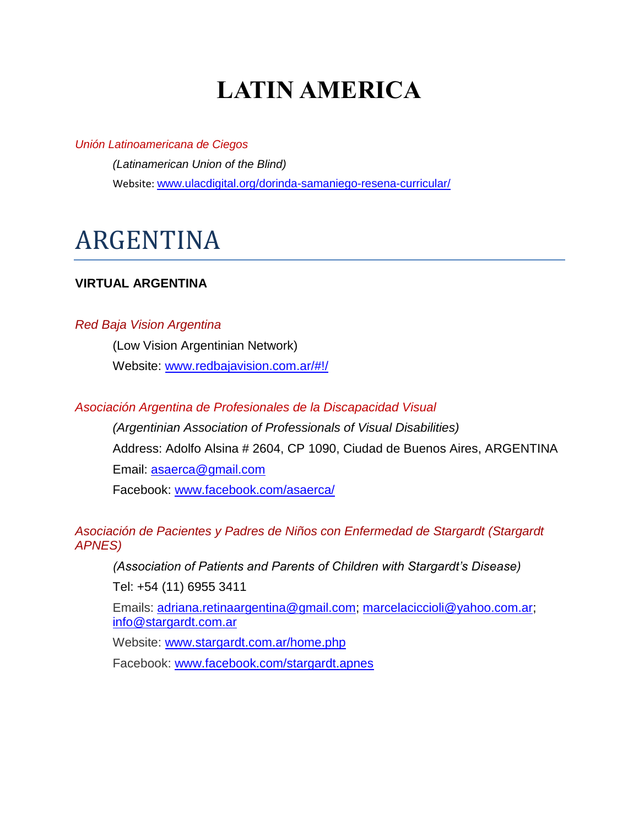# **LATIN AMERICA**

*Unión Latinoamericana de Ciegos*

*(Latinamerican Union of the Blind)* Website: [www.ulacdigital.org/dorinda-samaniego-resena-curricular/](http://www.ulacdigital.org/dorinda-samaniego-resena-curricular/)

# ARGENTINA

## **VIRTUAL ARGENTINA**

## *Red Baja Vision Argentina*

(Low Vision Argentinian Network) Website: [www.redbajavision.com.ar/#!/](http://www.redbajavision.com.ar/#!/)

## *Asociación Argentina de Profesionales de la Discapacidad Visual*

*(Argentinian Association of Professionals of Visual Disabilities)*  Address: Adolfo Alsina # 2604, CP 1090, Ciudad de Buenos Aires, ARGENTINA Email: [asaerca@gmail.com](mailto:asaerca@gmail.com) Facebook: [www.facebook.com/asaerca/](http://www.facebook.com/asaerca/)

## *Asociación de Pacientes y Padres de Niños con Enfermedad de Stargardt (Stargardt APNES)*

*(Association of Patients and Parents of Children with Stargardt's Disease)*

Tel: +54 (11) 6955 3411

Emails: [adriana.retinaargentina@gmail.com;](mailto:adriana.retinaargentina@gmail.com) [marcelaciccioli@yahoo.com.ar;](mailto:marcelaciccioli@yahoo.com.ar) [info@stargardt.com.ar](mailto:info@stargardt.com.ar)

Website: [www.stargardt.com.ar/home.php](http://www.stargardt.com.ar/home.php)

Facebook: [www.facebook.com/stargardt.apnes](http://www.facebook.com/stargardt.apnes)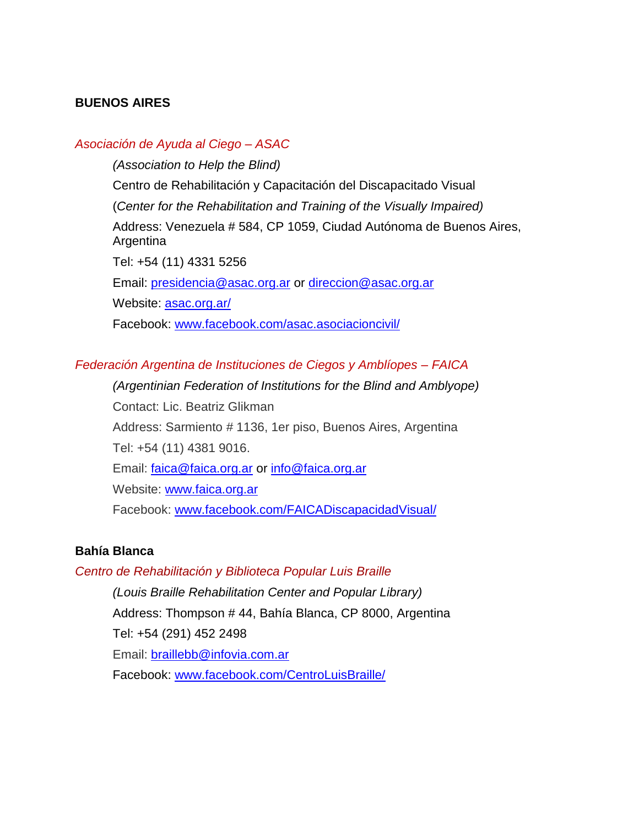## **BUENOS AIRES**

## *Asociación de Ayuda al Ciego – ASAC*

*(Association to Help the Blind)*

Centro de Rehabilitación y Capacitación del Discapacitado Visual

(*Center for the Rehabilitation and Training of the Visually Impaired)*

Address: Venezuela # 584, CP 1059, Ciudad Autónoma de Buenos Aires, Argentina

Tel: +54 (11) 4331 5256

Email: [presidencia@asac.org.ar](mailto:presidencia@asac.org.ar) or [direccion@asac.org.ar](mailto:direccion@asac.org.ar)

Website: [asac.org.ar/](https://asac.org.ar/)

Facebook: [www.facebook.com/asac.asociacioncivil/](http://www.facebook.com/asac.asociacioncivil/)

## *Federación Argentina de Instituciones de Ciegos y Amblíopes – FAICA*

*(Argentinian Federation of Institutions for the Blind and Amblyope)*  Contact: Lic. Beatriz Glikman Address: Sarmiento # 1136, 1er piso, Buenos Aires, Argentina Tel: +54 (11) 4381 9016. Email: [faica@faica.org.ar](mailto:faica@faica.org.ar) or info@faica.org.ar Website: [www.faica.org.ar](http://www.faica.org.ar/) Facebook: [www.facebook.com/FAICADiscapacidadVisual/](http://www.facebook.com/FAICADiscapacidadVisual/)

## **Bahía Blanca**

#### *Centro de Rehabilitación y Biblioteca Popular Luis Braille*

*(Louis Braille Rehabilitation Center and Popular Library)*  Address: Thompson # 44, Bahía Blanca, CP 8000, Argentina Tel: +54 (291) 452 2498 Email: [braillebb@infovia.com.ar](mailto:braillebb@infovia.com.ar) Facebook: [www.facebook.com/CentroLuisBraille/](http://www.facebook.com/CentroLuisBraille/)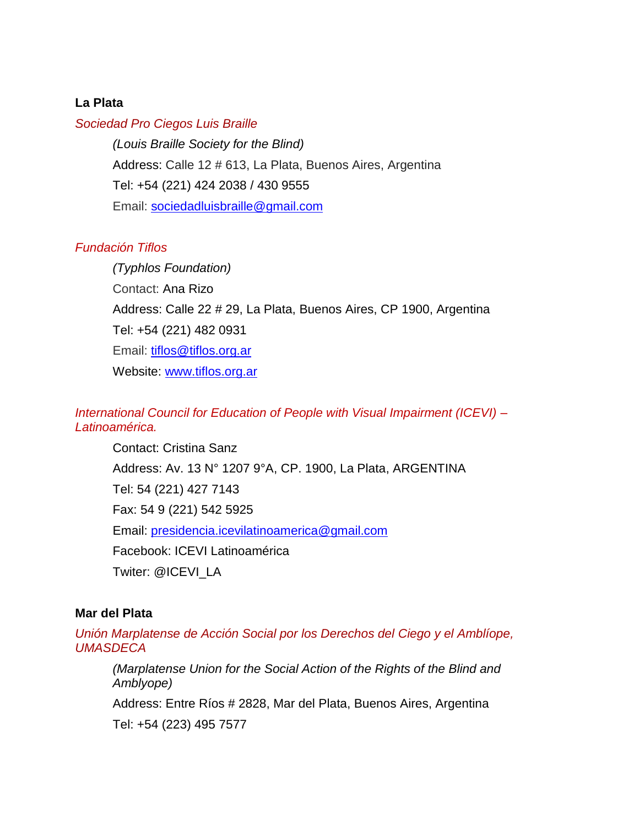## **La Plata**

#### *Sociedad Pro Ciegos Luis Braille*

*(Louis Braille Society for the Blind)* [Address:](https://www.google.com/search?sxsrf=ACYBGNQ-TqtiU-urPbDhjzj8GpR4FZcRfA:1572197130328&q=sociedad+luis+braille+address&stick=H4sIAAAAAAAAAOPgE-LWT9c3LMnItqyoKtKSzU620s_JT04syczPgzOsElNSilKLixexyhbnJ2empiSmKOSUZhYrJBUlZubkpCpA5QHFTlMeTgAAAA&ludocid=15954663069221954107&sa=X&ved=2ahUKEwiP8uDb-rzlAhVUoFsKHQgABD4Q6BMwEHoECBAQAw&sxsrf=ACYBGNQ-TqtiU-urPbDhjzj8GpR4FZcRfA:1572197130328) Calle 12 # 613, La Plata, Buenos Aires, Argentina Tel: [+54 \(221\) 424 2038](https://www.google.com/search?q=Sociedad+Pro+Ciegos+Luis+Braille&oq=Sociedad+Pro+Ciegos+Luis+Braille&aqs=chrome..69i57.3065j0j4&sourceid=chrome&ie=UTF-8) / 430 9555 Email: [sociedadluisbraille@gmail.com](mailto:sociedadluisbraille@gmail.com)

## *Fundación Tiflos*

*(Typhlos Foundation)* Contact: Ana Rizo Address: Calle 22 # 29, La Plata, Buenos Aires, CP 1900, Argentina Tel: +54 (221) 482 0931 Email: [tiflos@tiflos.org.ar](mailto:tiflos@tiflos.org.ar) Website: [www.tiflos.org.ar](http://www.tiflos.org.ar/)

## *International Council for Education of People with Visual Impairment (ICEVI) – Latinoamérica.*

Contact: Cristina Sanz Address: Av. 13 N° 1207 9°A, CP. 1900, La Plata, ARGENTINA Tel: 54 (221) 427 7143 Fax: 54 9 (221) 542 5925 Email: [presidencia.icevilatinoamerica@gmail.com](mailto:presidencia.icevilatinoamerica@gmail.com) Facebook: ICEVI Latinoamérica Twiter: @ICEVI\_LA

## **Mar del Plata**

*Unión Marplatense de Acción Social por los Derechos del Ciego y el Amblíope, UMASDECA*

*(Marplatense Union for the Social Action of the Rights of the Blind and Amblyope)*

Address: Entre Ríos # 2828, Mar del Plata, Buenos Aires, Argentina

Tel: +54 (223) 495 7577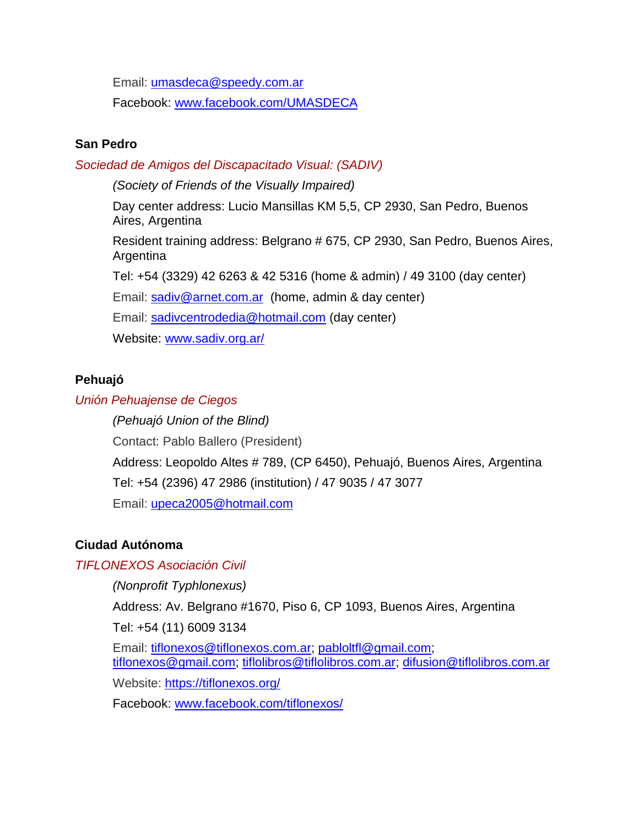Email: [umasdeca@speedy.com.ar](mailto:umasdeca@speedy.com.ar)

Facebook: [www.facebook.com/UMASDECA](http://www.facebook.com/UMASDECA)

## **San Pedro**

*Sociedad de Amigos del Discapacitado Visual: (SADIV)*

*(Society of Friends of the Visually Impaired)*

Day center address: Lucio Mansillas KM 5,5, CP 2930, San Pedro, Buenos Aires, Argentina

Resident training address: Belgrano # 675, CP 2930, San Pedro, Buenos Aires, Argentina

Tel: +54 (3329) 42 6263 & 42 5316 (home & admin) / 49 3100 (day center)

Email: [sadiv@arnet.com.ar](mailto:sadiv@arnet.com.ar) (home, admin & day center)

Email: [sadivcentrodedia@hotmail.com](mailto:sadivcentrodedia@hotmail.com) (day center)

Website: [www.sadiv.org.ar/](http://www.sadiv.org.ar/)

## **Pehuajó**

## *Unión Pehuajense de Ciegos*

*(Pehuajó Union of the Blind)* Contact: Pablo Ballero (President) Address: Leopoldo Altes # 789, (CP 6450), Pehuajó, Buenos Aires, Argentina Tel: +54 (2396) 47 2986 (institution) / 47 9035 / 47 3077 Email: [upeca2005@hotmail.com](mailto:upeca2005@hotmail.com)

## **Ciudad Autónoma**

## *TIFLONEXOS Asociación Civil*

*(Nonprofit Typhlonexus)*

Address: Av. Belgrano #1670, Piso 6, CP 1093, Buenos Aires, Argentina

Tel: +54 (11) 6009 3134

Email: [tiflonexos@tiflonexos.com.ar;](mailto:tiflonexos@tiflonexos.com.ar) [pabloltfl@gmail.com;](mailto:pabloltfl@gmail.com) [tiflonexos@gmail.com;](mailto:tiflonexos@gmail.com) [tiflolibros@tiflolibros.com.ar;](mailto:tiflolibros@tiflolibros.com.ar) [difusion@tiflolibros.com.ar](mailto:difusion@tiflolibros.com.ar)

Website:<https://tiflonexos.org/>

Facebook: [www.facebook.com/tiflonexos/](http://www.facebook.com/tiflonexos/)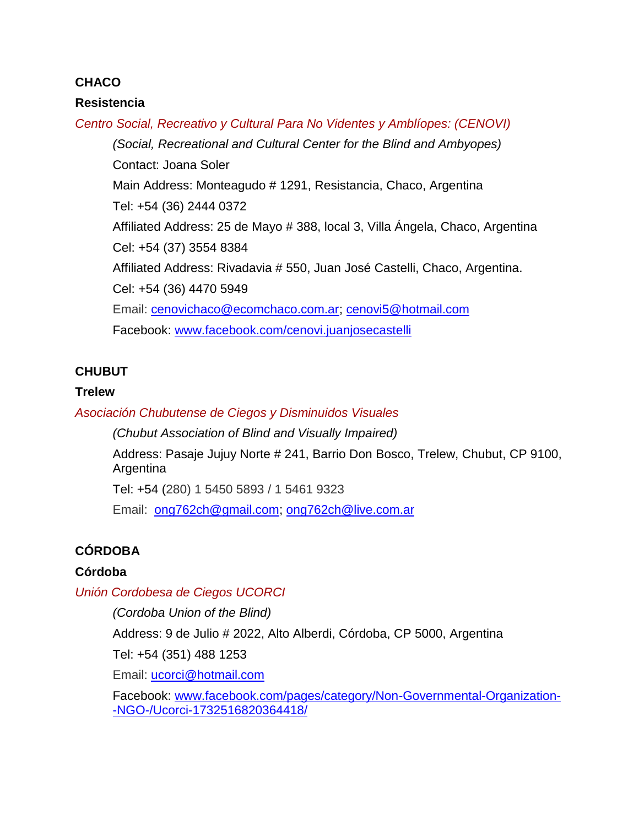## **CHACO**

## **Resistencia**

*Centro Social, Recreativo y Cultural Para No Videntes y Amblíopes: (CENOVI) (Social, Recreational and Cultural Center for the Blind and Ambyopes)*  Contact: Joana Soler Main Address: Monteagudo # 1291, Resistancia, Chaco, Argentina Tel: +54 (36) 2444 0372 Affiliated Address: 25 de Mayo # 388, local 3, Villa Ángela, Chaco, Argentina Cel: +54 (37) 3554 8384 Affiliated Address: Rivadavia # 550, Juan José Castelli, Chaco, Argentina. Cel: +54 (36) 4470 5949 Email: [cenovichaco@ecomchaco.com.ar;](mailto:cenovichaco@ecomchaco.com.ar) [cenovi5@hotmail.com](mailto:cenovi5@hotmail.com) Facebook: [www.facebook.com/cenovi.juanjosecastelli](http://www.facebook.com/cenovi.juanjosecastelli)

## **CHUBUT**

## **Trelew**

*Asociación Chubutense de Ciegos y Disminuidos Visuales*

*(Chubut Association of Blind and Visually Impaired)*

Address: Pasaje Jujuy Norte # 241, Barrio Don Bosco, Trelew, Chubut, CP 9100, **Argentina** 

Tel: +54 (280) 1 5450 5893 / 1 5461 9323

Email: [ong762ch@gmail.com;](mailto:ong762ch@gmail.com) [ong762ch@live.com.ar](mailto:ong762ch@live.com.ar)

## **CÓRDOBA**

## **Córdoba**

*Unión Cordobesa de Ciegos UCORCI*

*(Cordoba Union of the Blind)*

Address: 9 de Julio # 2022, Alto Alberdi, Córdoba, CP 5000, Argentina

Tel: +54 (351) 488 1253

Email: [ucorci@hotmail.com](mailto:ucorci@hotmail.com)

Facebook: [www.facebook.com/pages/category/Non-Governmental-Organization-](http://www.facebook.com/pages/category/Non-Governmental-Organization--NGO-/Ucorci-1732516820364418/) [-NGO-/Ucorci-1732516820364418/](http://www.facebook.com/pages/category/Non-Governmental-Organization--NGO-/Ucorci-1732516820364418/)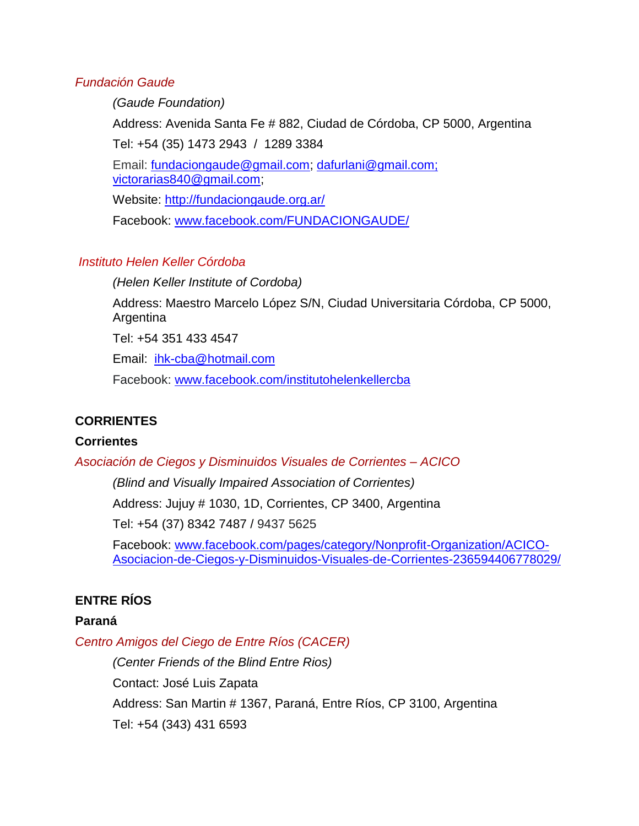## *Fundación Gaude*

*(Gaude Foundation)*

Address: Avenida Santa Fe # 882, Ciudad de Córdoba, CP 5000, Argentina Tel: +54 (35) 1473 2943 / 1289 3384

Email: [fundaciongaude@gmail.com;](mailto:fundaciongaude@gmail.com) [dafurlani@gmail.com;](mailto:dafurlani@gmail.com) [victorarias840@gmail.com;](mailto:victorarias840@gmail.com)

Website:<http://fundaciongaude.org.ar/>

Facebook: [www.facebook.com/FUNDACIONGAUDE/](http://www.facebook.com/FUNDACIONGAUDE/)

## *Instituto Helen Keller Córdoba*

*(Helen Keller Institute of Cordoba)*

Address: Maestro Marcelo López S/N, Ciudad Universitaria Córdoba, CP 5000, Argentina

Tel: +54 351 433 4547

Email: [ihk-cba@hotmail.com](mailto:ihk-cba@hotmail.com)

Facebook: [www.facebook.com/institutohelenkellercba](http://www.facebook.com/institutohelenkellercba)

## **CORRIENTES**

## **Corrientes**

*Asociación de Ciegos y Disminuidos Visuales de Corrientes – ACICO*

*(Blind and Visually Impaired Association of Corrientes)*

Address: Jujuy # 1030, 1D, Corrientes, CP 3400, Argentina

Tel: +54 (37) 8342 7487 / 9437 5625

Facebook: [www.facebook.com/pages/category/Nonprofit-Organization/ACICO-](http://www.facebook.com/pages/category/Nonprofit-Organization/ACICO-Asociacion-de-Ciegos-y-Disminuidos-Visuales-de-Corrientes-236594406778029/)[Asociacion-de-Ciegos-y-Disminuidos-Visuales-de-Corrientes-236594406778029/](http://www.facebook.com/pages/category/Nonprofit-Organization/ACICO-Asociacion-de-Ciegos-y-Disminuidos-Visuales-de-Corrientes-236594406778029/)

## **ENTRE RÍOS**

## **Paraná**

*Centro Amigos del Ciego de Entre Ríos (CACER)*

*(Center Friends of the Blind Entre Rios)* Contact: José Luis Zapata Address: San Martin # 1367, Paraná, Entre Ríos, CP 3100, Argentina Tel: +54 (343) 431 6593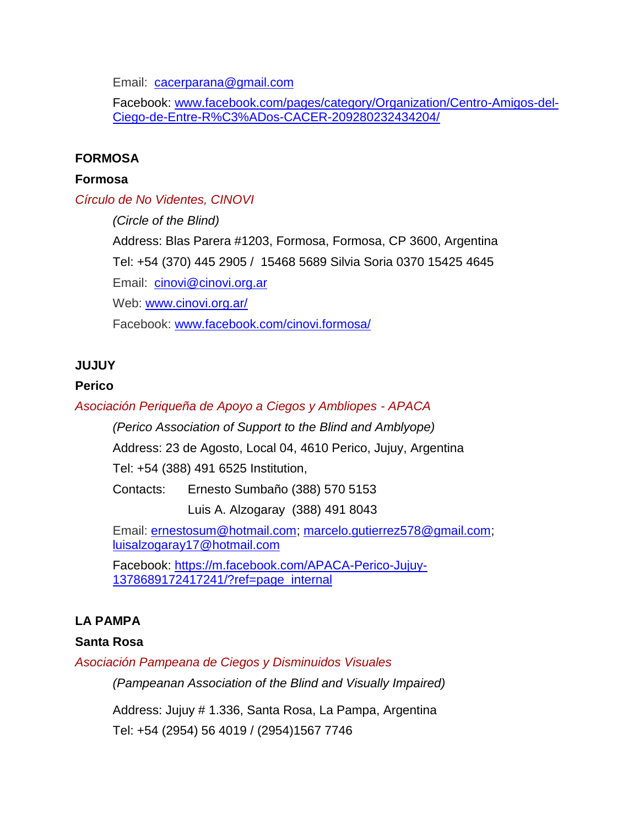Email: [cacerparana@gmail.com](mailto:cacerparana@gmail.com)

Facebook: [www.facebook.com/pages/category/Organization/Centro-Amigos-del-](http://www.facebook.com/pages/category/Organization/Centro-Amigos-del-Ciego-de-Entre-R%C3%ADos-CACER-209280232434204/)[Ciego-de-Entre-R%C3%ADos-CACER-209280232434204/](http://www.facebook.com/pages/category/Organization/Centro-Amigos-del-Ciego-de-Entre-R%C3%ADos-CACER-209280232434204/)

## **FORMOSA**

## **Formosa**

*Círculo de No Videntes, CINOVI*

*(Circle of the Blind)* Address: Blas Parera #1203, Formosa, Formosa, CP 3600, Argentina Tel: +54 (370) 445 2905 / 15468 5689 Silvia Soria 0370 15425 4645 Email: [cinovi@cinovi.org.ar](mailto:cinovi@cinovi.org.ar) Web: [www.cinovi.org.ar/](http://www.cinovi.org.ar/) Facebook: [www.facebook.com/cinovi.formosa/](http://www.facebook.com/cinovi.formosa/)

## **JUJUY**

## **Perico**

## *Asociación Periqueña de Apoyo a Ciegos y Ambliopes - APACA*

*(Perico Association of Support to the Blind and Amblyope)*

Address: 23 de Agosto, Local 04, 4610 Perico, Jujuy, Argentina

Tel: +54 (388) 491 6525 Institution,

Contacts: Ernesto Sumbaño (388) 570 5153

Luis A. Alzogaray (388) 491 8043

Email: [ernestosum@hotmail.com;](mailto:ernestosum@hotmail.com) [marcelo.gutierrez578@gmail.com;](mailto:marcelo.gutierrez578@gmail.com) [luisalzogaray17@hotmail.com](mailto:luisalzogaray17@hotmail.com)

Facebook: [https://m.facebook.com/APACA-Perico-Jujuy-](https://m.facebook.com/APACA-Perico-Jujuy-1378689172417241/?ref=page_internal)[1378689172417241/?ref=page\\_internal](https://m.facebook.com/APACA-Perico-Jujuy-1378689172417241/?ref=page_internal)

## **LA PAMPA**

## **Santa Rosa**

*Asociación Pampeana de Ciegos y Disminuidos Visuales*

*(Pampeanan Association of the Blind and Visually Impaired)*

Address: Jujuy # 1.336, Santa Rosa, La Pampa, Argentina

Tel: +54 (2954) 56 4019 / (2954)1567 7746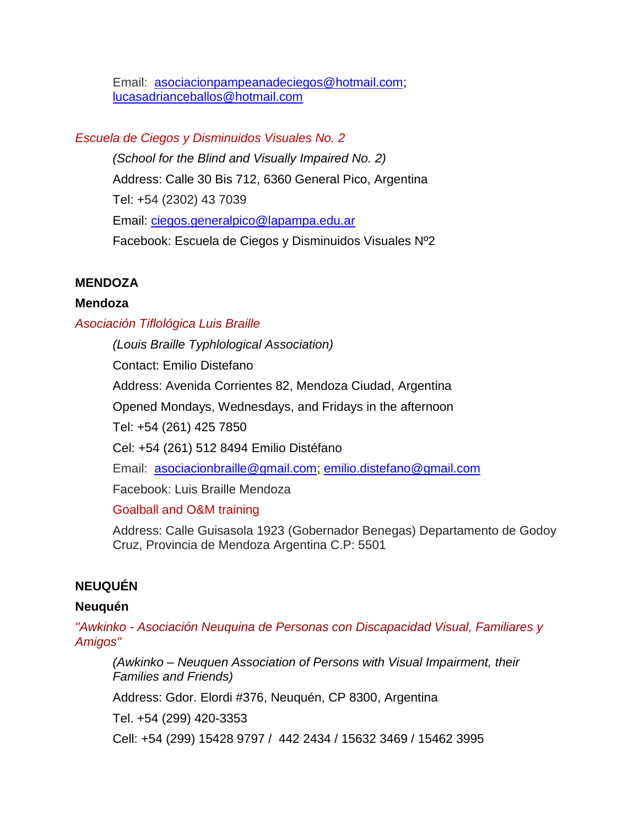Email: [asociacionpampeanadeciegos@hotmail.com;](mailto:asociacionpampeanadeciegos@hotmail.com) [lucasadrianceballos@hotmail.com](mailto:lucasadrianceballos@hotmail.com)

## *Escuela de Ciegos y Disminuidos Visuales No. 2*

*(School for the Blind and Visually Impaired No. 2)* Address: Calle 30 Bis 712, 6360 General Pico, Argentina Tel: +54 (2302) 43 7039 Email: [ciegos.generalpico@lapampa.edu.ar](mailto:ciegos.generalpico@lapampa.edu.ar) Facebook: Escuela de Ciegos y Disminuidos Visuales Nº2

## **MENDOZA**

## **Mendoza**

## *Asociación Tiflológica Luis Braille*

*(Louis Braille Typhlological Association)*

Contact: Emilio Distefano

Address: Avenida Corrientes 82, Mendoza Ciudad, Argentina

Opened Mondays, Wednesdays, and Fridays in the afternoon

Tel: +54 (261) 425 7850

Cel: +54 (261) 512 8494 Emilio Distéfano

Email: [asociacionbraille@gmail.com;](mailto:asociacionbraille@gmail.com) [emilio.distefano@gmail.com](mailto:emilio.distefano@gmail.com)

Facebook: Luis Braille Mendoza

Goalball and O&M training

Address: Calle Guisasola 1923 (Gobernador Benegas) Departamento de Godoy Cruz, Provincia de Mendoza Argentina C.P: 5501

## **NEUQUÉN**

## **Neuquén**

*"Awkinko - Asociación Neuquina de Personas con Discapacidad Visual, Familiares y Amigos"* 

*(Awkinko – Neuquen Association of Persons with Visual Impairment, their Families and Friends)*

Address: Gdor. Elordi #376, Neuquén, CP 8300, Argentina

Tel. +54 (299) 420-3353

Cell: +54 (299) 15428 9797 / 442 2434 / 15632 3469 / 15462 3995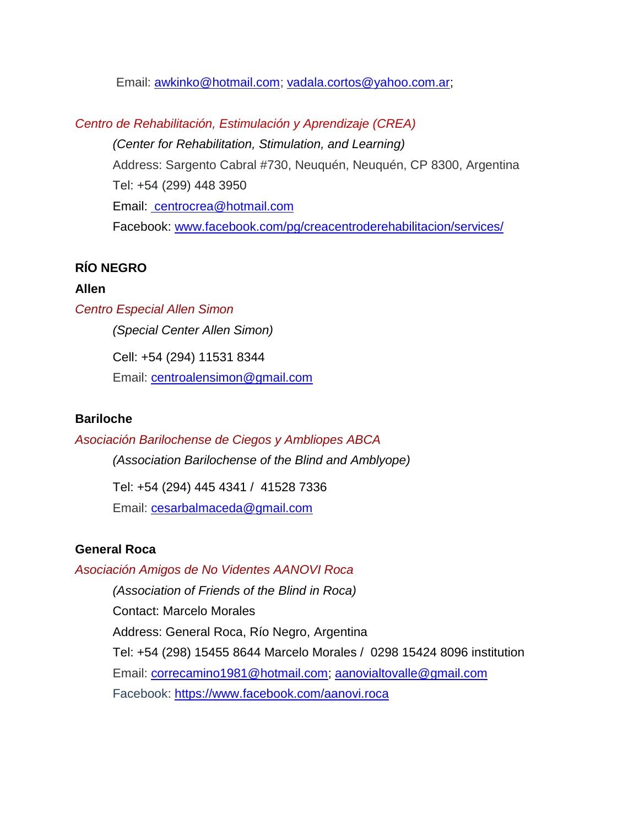Email: [awkinko@hotmail.com;](mailto:awkinko@hotmail.com) [vadala.cortos@yahoo.com.ar;](mailto:vadala.cortos@yahoo.com.ar)

*Centro de Rehabilitación, Estimulación y Aprendizaje (CREA) (Center for Rehabilitation, Stimulation, and Learning)* Address: Sargento Cabral #730, Neuquén, Neuquén, CP 8300, Argentina Tel: +54 (299) 448 3950 Email: [centrocrea@hotmail.com](mailto:%20centrocrea@hotmail.com) Facebook: [www.facebook.com/pg/creacentroderehabilitacion/services/](http://www.facebook.com/pg/creacentroderehabilitacion/services/)

## **RÍO NEGRO**

## **Allen**

*Centro Especial Allen Simon*

*(Special Center Allen Simon)*

Cell: +54 (294) 11531 8344 Email: [centroalensimon@gmail.com](mailto:centroalensimon@gmail.com)

## **Bariloche**

*Asociación Barilochense de Ciegos y Ambliopes ABCA*

*(Association Barilochense of the Blind and Amblyope)*

Tel: +54 (294) 445 4341 / 41528 7336 Email: [cesarbalmaceda@gmail.com](mailto:cesarbalmaceda@gmail.com)

## **General Roca**

## *Asociación Amigos de No Videntes AANOVI Roca*

*(Association of Friends of the Blind in Roca)* Contact: Marcelo Morales Address: General Roca, Río Negro, Argentina Tel: +54 (298) 15455 8644 Marcelo Morales / 0298 15424 8096 institution Email: [correcamino1981@hotmail.com;](mailto:correcamino1981@hotmail.com) [aanovialtovalle@gmail.com](mailto:aanovialtovalle@gmail.com) Facebook: <https://www.facebook.com/aanovi.roca>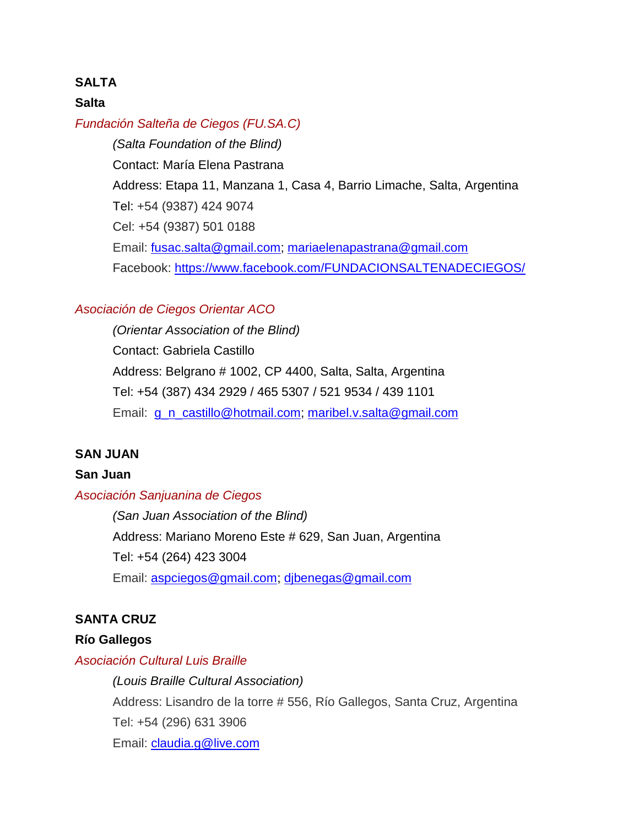#### **SALTA**

#### **Salta**

#### *Fundación Salteña de Ciegos (FU.SA.C)*

*(Salta Foundation of the Blind)* Contact: María Elena Pastrana Address: Etapa 11, Manzana 1, Casa 4, Barrio Limache, Salta, Argentina Tel: +54 (9387) 424 9074 Cel: +54 (9387) 501 0188 Email: [fusac.salta@gmail.com;](mailto:fusac.salta@gmail.com) [mariaelenapastrana@gmail.com](mailto:mariaelenapastrana@gmail.com) Facebook:<https://www.facebook.com/FUNDACIONSALTENADECIEGOS/>

#### *Asociación de Ciegos Orientar ACO*

*(Orientar Association of the Blind)* Contact: Gabriela Castillo Address: Belgrano # 1002, CP 4400, Salta, Salta, Argentina Tel: +54 (387) 434 2929 / 465 5307 / 521 9534 / 439 1101 Email: [g\\_n\\_castillo@hotmail.com;](mailto:g_n_castillo@hotmail.com) [maribel.v.salta@gmail.com](mailto:maribel.v.salta@gmail.com)

## **SAN JUAN**

#### **San Juan**

#### *Asociación Sanjuanina de Ciegos*

*(San Juan Association of the Blind)* Address: Mariano Moreno Este # 629, San Juan, Argentina Tel: +54 (264) 423 3004 Email: [aspciegos@gmail.com;](mailto:aspciegos@gmail.com) [djbenegas@gmail.com](mailto:djbenegas@gmail.com)

#### **SANTA CRUZ**

#### **Río Gallegos**

#### *Asociación Cultural Luis Braille*

*(Louis Braille Cultural Association)* Address: Lisandro de la torre # 556, Río Gallegos, Santa Cruz, Argentina Tel: +54 (296) 631 3906 Email: [claudia.g@live.com](mailto:claudia.g@live.com)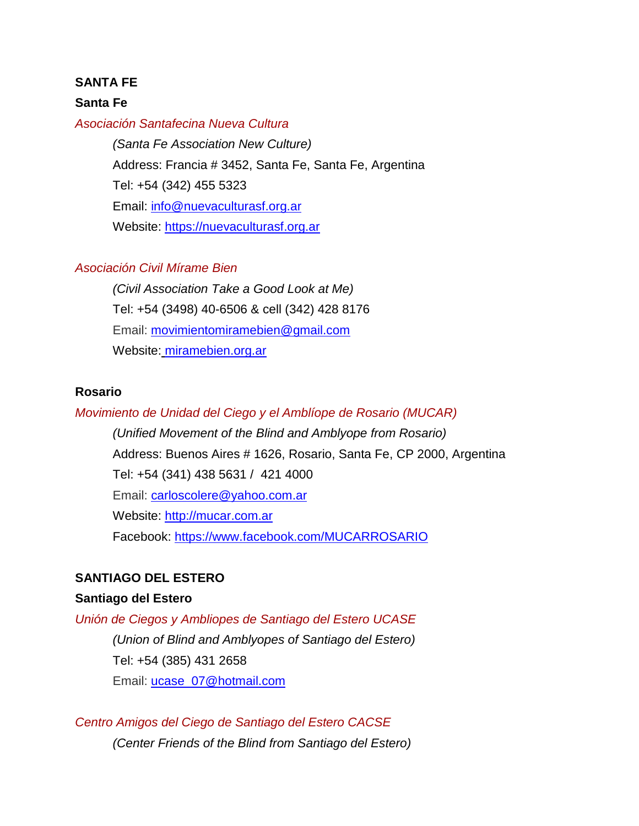#### **SANTA FE**

#### **Santa Fe**

#### *Asociación Santafecina Nueva Cultura*

*(Santa Fe Association New Culture)* Address: Francia # 3452, Santa Fe, Santa Fe, Argentina Tel: +54 (342) 455 5323 Email: [info@nuevaculturasf.org.ar](mailto:info@nuevaculturasf.org.ar) Website: [https://nuevaculturasf.org.ar](https://nuevaculturasf.org.ar/)

#### *Asociación Civil Mírame Bien*

*(Civil Association Take a Good Look at Me)* Tel: +54 (3498) 40-6506 & cell (342) 428 8176 Email: [movimientomiramebien@gmail.com](mailto:movimientomiramebien@gmail.com) Website: miramebien.org.ar

#### **Rosario**

#### *Movimiento de Unidad del Ciego y el Amblíope de Rosario (MUCAR)*

*(Unified Movement of the Blind and Amblyope from Rosario)* Address: Buenos Aires # 1626, Rosario, Santa Fe, CP 2000, Argentina Tel: +54 (341) 438 5631 / 421 4000 Email: [carloscolere@yahoo.com.ar](mailto:carloscolere@yahoo.com.ar) Website: [http://mucar.com.ar](http://mucar.com.ar/) Facebook:<https://www.facebook.com/MUCARROSARIO>

#### **SANTIAGO DEL ESTERO**

#### **Santiago del Estero**

*Unión de Ciegos y Ambliopes de Santiago del Estero UCASE (Union of Blind and Amblyopes of Santiago del Estero)* Tel: +54 (385) 431 2658 Email: [ucase\\_07@hotmail.com](mailto:ucase_07@hotmail.com)

*Centro Amigos del Ciego de Santiago del Estero CACSE (Center Friends of the Blind from Santiago del Estero)*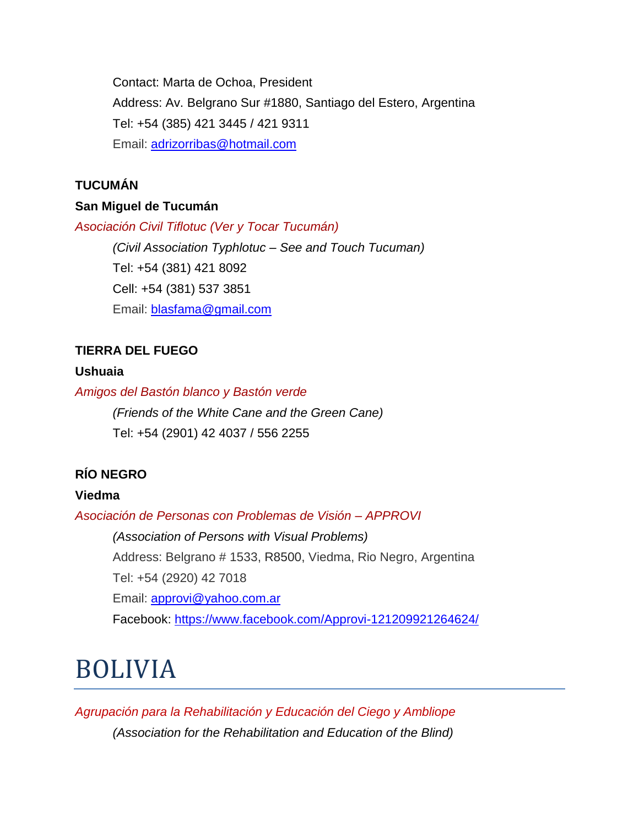Contact: Marta de Ochoa, President Address: Av. Belgrano Sur #1880, Santiago del Estero, Argentina Tel: +54 (385) 421 3445 / 421 9311 Email: [adrizorribas@hotmail.com](mailto:adrizorribas@hotmail.com)

## **TUCUMÁN**

## **San Miguel de Tucumán**

*Asociación Civil Tiflotuc (Ver y Tocar Tucumán)*

*(Civil Association Typhlotuc – See and Touch Tucuman)* Tel: +54 (381) 421 8092 Cell: +54 (381) 537 3851 Email: [blasfama@gmail.com](mailto:blasfama@gmail.com)

## **TIERRA DEL FUEGO**

## **Ushuaia**

*Amigos del Bastón blanco y Bastón verde*

*(Friends of the White Cane and the Green Cane)* Tel: +54 (2901) 42 4037 / 556 2255

## **RÍO NEGRO**

## **Viedma**

*Asociación de Personas con Problemas de Visión – APPROVI* 

*(Association of Persons with Visual Problems)* Address: Belgrano # 1533, R8500, Viedma, Rio Negro, Argentina Tel: +54 (2920) 42 7018 Email: [approvi@yahoo.com.ar](mailto:approvi@yahoo.com.ar) Facebook:<https://www.facebook.com/Approvi-121209921264624/>

## BOLIVIA

*Agrupación para la Rehabilitación y Educación del Ciego y Ambliope (Association for the Rehabilitation and Education of the Blind)*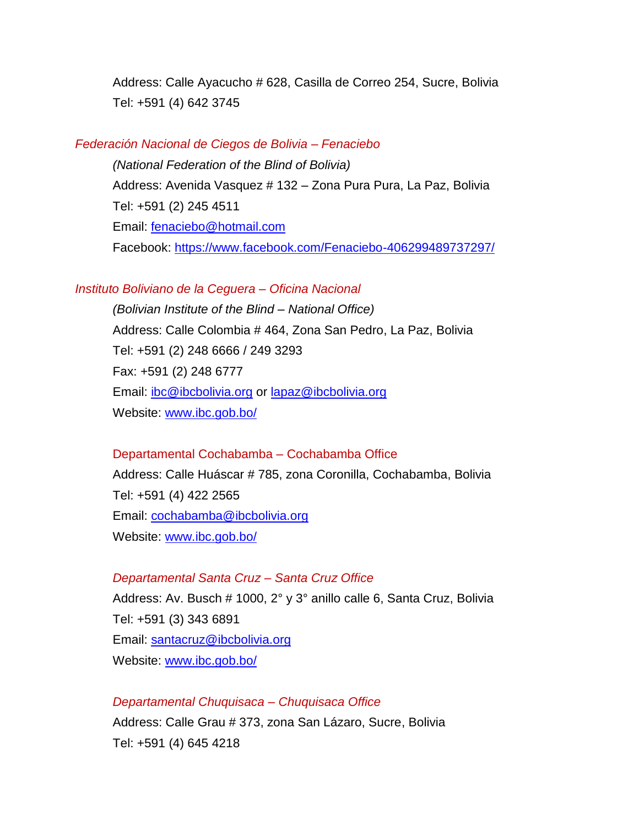Address: Calle Ayacucho # 628, Casilla de Correo 254, Sucre, Bolivia Tel: +591 (4) 642 3745

#### *Federación Nacional de Ciegos de Bolivia – Fenaciebo*

*(National Federation of the Blind of Bolivia)*  Address: Avenida Vasquez # 132 – Zona Pura Pura, La Paz, Bolivia Tel: +591 (2) 245 4511 Email: [fenaciebo@hotmail.com](mailto:fenaciebo@hotmail.com) Facebook:<https://www.facebook.com/Fenaciebo-406299489737297/>

#### *Instituto Boliviano de la Ceguera – Oficina Nacional*

*(Bolivian Institute of the Blind – National Office)* Address: Calle Colombia # 464, Zona San Pedro, La Paz, Bolivia Tel: +591 (2) 248 6666 / 249 3293 Fax: +591 (2) 248 6777 Email: [ibc@ibcbolivia.org](mailto:ibc@ibcbolivia.org) or [lapaz@ibcbolivia.org](mailto:lapaz@ibcbolivia.org) Website: [www.ibc.gob.bo/](http://www.ibc.gob.bo/)

#### Departamental Cochabamba – Cochabamba Office

Address: Calle Huáscar # 785, zona Coronilla, Cochabamba, Bolivia Tel: +591 (4) 422 2565 Email: [cochabamba@ibcbolivia.org](mailto:cochabamba@ibcbolivia.org) Website: [www.ibc.gob.bo/](http://www.ibc.gob.bo/)

#### *Departamental Santa Cruz – Santa Cruz Office*

Address: Av. Busch # 1000, 2° y 3° anillo calle 6, Santa Cruz, Bolivia Tel: +591 (3) 343 6891 Email: [santacruz@ibcbolivia.org](mailto:santacruz@ibcbolivia.org) Website: [www.ibc.gob.bo/](http://www.ibc.gob.bo/)

*Departamental Chuquisaca – Chuquisaca Office* Address: Calle Grau # 373, zona San Lázaro, Sucre, Bolivia Tel: +591 (4) 645 4218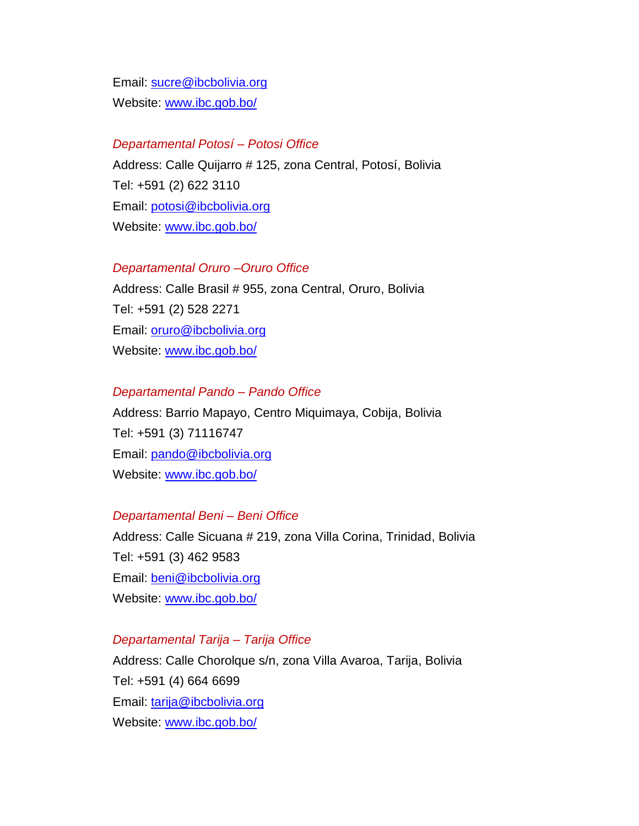Email: [sucre@ibcbolivia.org](mailto:sucre@ibcbolivia.org) Website: [www.ibc.gob.bo/](http://www.ibc.gob.bo/)

#### *Departamental Potosí – Potosi Office*

Address: Calle Quijarro # 125, zona Central, Potosí, Bolivia Tel: +591 (2) 622 3110 Email: [potosi@ibcbolivia.org](mailto:potosi@ibcbolivia.org) Website: [www.ibc.gob.bo/](http://www.ibc.gob.bo/)

#### *Departamental Oruro –Oruro Office*

Address: Calle Brasil # 955, zona Central, Oruro, Bolivia Tel: +591 (2) 528 2271 Email: [oruro@ibcbolivia.org](mailto:oruro@ibcbolivia.org) Website: [www.ibc.gob.bo/](http://www.ibc.gob.bo/)

#### *Departamental Pando – Pando Office*

Address: Barrio Mapayo, Centro Miquimaya, Cobija, Bolivia Tel: +591 (3) 71116747 Email: [pando@ibcbolivia.org](mailto:pando@ibcbolivia.org) Website: [www.ibc.gob.bo/](http://www.ibc.gob.bo/)

#### *Departamental Beni – Beni Office*

Address: Calle Sicuana # 219, zona Villa Corina, Trinidad, Bolivia Tel: +591 (3) 462 9583 Email: [beni@ibcbolivia.org](mailto:beni@ibcbolivia.org) Website: [www.ibc.gob.bo/](http://www.ibc.gob.bo/)

#### *Departamental Tarija – Tarija Office*

Address: Calle Chorolque s/n, zona Villa Avaroa, Tarija, Bolivia Tel: +591 (4) 664 6699 Email: [tarija@ibcbolivia.org](mailto:tarija@ibcbolivia.org) Website: [www.ibc.gob.bo/](http://www.ibc.gob.bo/)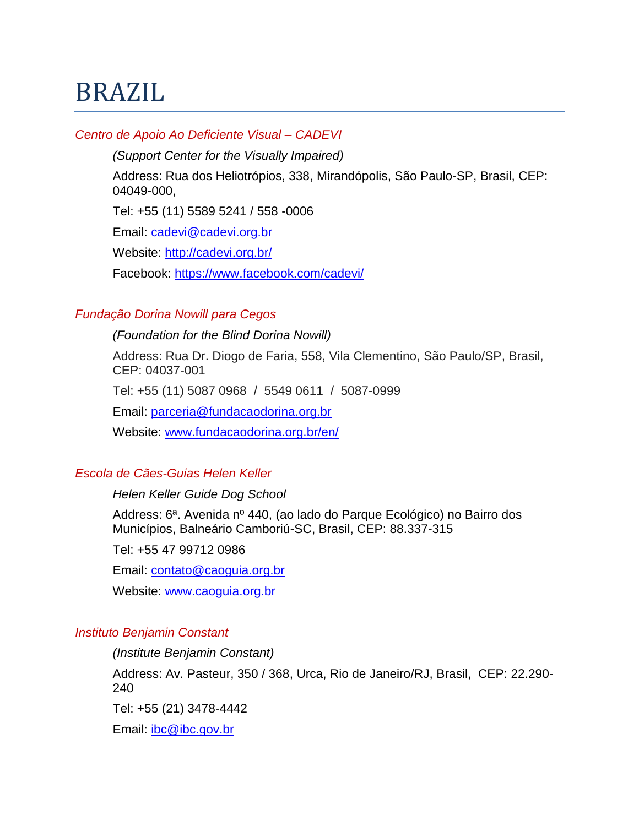# BRAZIL

## *Centro de Apoio Ao Deficiente Visual – CADEVI*

*(Support Center for the Visually Impaired)*

Address: Rua dos Heliotrópios, 338, Mirandópolis, São Paulo-SP, Brasil, CEP: 04049-000,

Tel: +55 (11) 5589 5241 / 558 -0006

Email: [cadevi@cadevi.org.br](mailto:cadevi@cadevi.org.br)

Website:<http://cadevi.org.br/>

Facebook:<https://www.facebook.com/cadevi/>

## *Fundação Dorina Nowill para Cegos*

*(Foundation for the Blind Dorina Nowill)*

Address: Rua Dr. Diogo de Faria, 558, Vila Clementino, São Paulo/SP, Brasil, CEP: 04037-001

Tel: +55 (11) 5087 0968 / 5549 0611 / 5087-0999

Email: [parceria@fundacaodorina.org.br](mailto:parceria@fundacaodorina.org.br)

Website: [www.fundacaodorina.org.br/en/](http://www.fundacaodorina.org.br/en/)

## *Escola de Cães-Guias Helen Keller*

## *Helen Keller Guide Dog School*

Address: 6ª. Avenida nº 440, (ao lado do Parque Ecológico) no Bairro dos Municípios, Balneário Camboriú-SC, Brasil, CEP: 88.337-315

Tel: +55 47 99712 0986

Email: [contato@caoguia.org.br](mailto:contato@caoguia.org.br)

Website: [www.caoguia.org.br](http://www.caoguia.org.br/)

## *Instituto Benjamin Constant*

*(Institute Benjamin Constant)*

Address: Av. Pasteur, 350 / 368, Urca, Rio de Janeiro/RJ, Brasil, CEP: 22.290- 240

Tel: +55 (21) 3478-4442

Email: [ibc@ibc.gov.br](mailto:ibc@ibc.gov.br)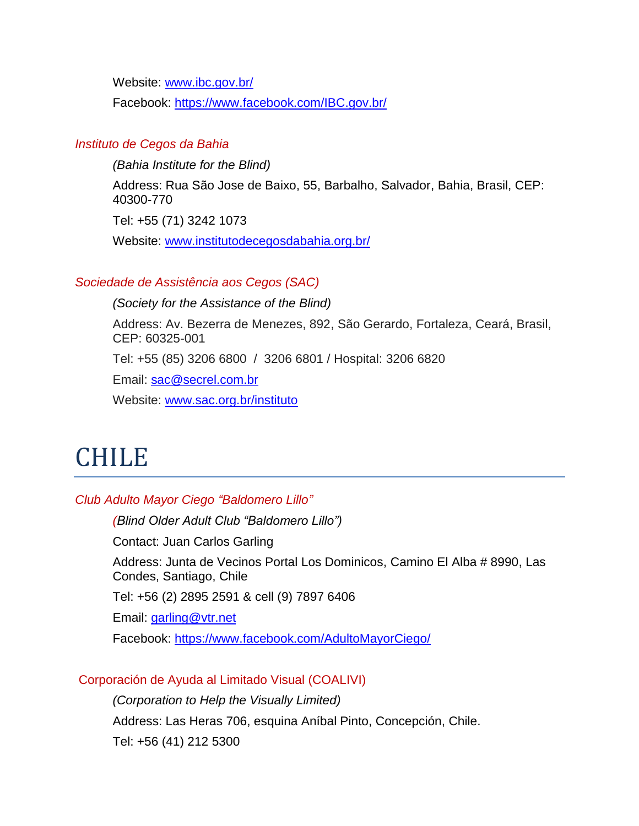Website: [www.ibc.gov.br/](http://www.ibc.gov.br/)

Facebook:<https://www.facebook.com/IBC.gov.br/>

## *Instituto de Cegos da Bahia*

*(Bahia Institute for the Blind)*

Address: Rua São Jose de Baixo, 55, Barbalho, Salvador, Bahia, Brasil, CEP: 40300-770

Tel: +55 (71) 3242 1073

Website: [www.institutodecegosdabahia.org.br/](http://www.institutodecegosdabahia.org.br/)

#### *Sociedade de Assistência aos Cegos (SAC)*

*(Society for the Assistance of the Blind)*

Address: Av. Bezerra de Menezes, 892, São Gerardo, Fortaleza, Ceará, Brasil, CEP: 60325-001

Tel: +55 (85) 3206 6800 / 3206 6801 / Hospital: 3206 6820

Email: [sac@secrel.com.br](mailto:sac@secrel.com.br)

Website: [www.sac.org.br/instituto](http://www.sac.org.br/instituto)

## CHILE

#### *Club Adulto Mayor Ciego "Baldomero Lillo"*

*(Blind Older Adult Club "Baldomero Lillo")*

Contact: Juan Carlos Garling

Address: Junta de Vecinos Portal Los Dominicos, Camino El Alba # 8990, Las Condes, Santiago, Chile

Tel: +56 (2) 2895 2591 & cell (9) 7897 6406

Email: [garling@vtr.net](mailto:garling@vtr.net)

Facebook:<https://www.facebook.com/AdultoMayorCiego/>

Corporación de Ayuda al Limitado Visual (COALIVI)

*(Corporation to Help the Visually Limited)*

Address: Las Heras 706, esquina Aníbal Pinto, Concepción, Chile.

Tel: +56 (41) 212 5300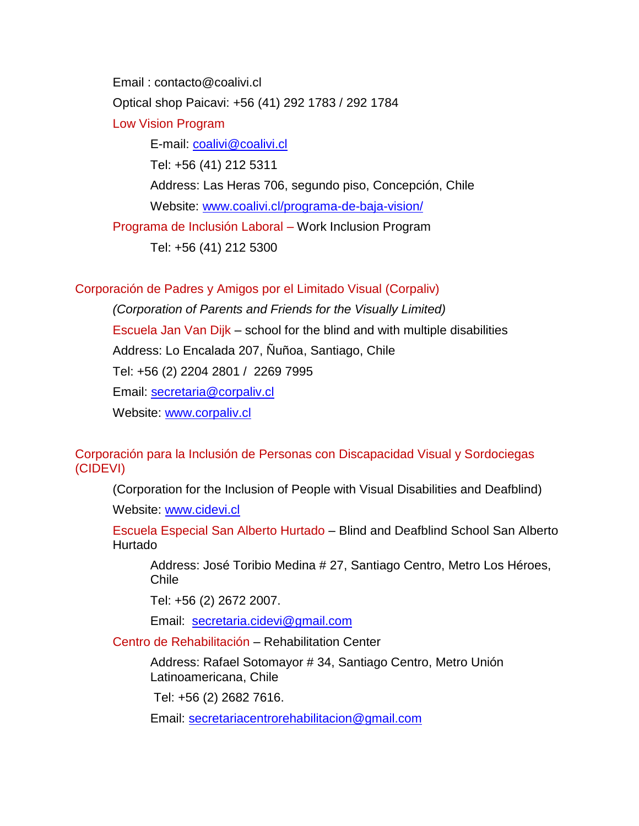Email : contacto@coalivi.cl Optical shop Paicavi: +56 (41) 292 1783 / 292 1784 Low Vision Program E-mail: [coalivi@coalivi.cl](mailto:coalivi@coalivi.cl) Tel: +56 (41) 212 5311 Address: Las Heras 706, segundo piso, Concepción, Chile Website: [www.coalivi.cl/programa-de-baja-vision/](http://www.coalivi.cl/programa-de-baja-vision/) Programa de Inclusión Laboral – Work Inclusion Program Tel: +56 (41) 212 5300

## Corporación de Padres y Amigos por el Limitado Visual (Corpaliv)

*(Corporation of Parents and Friends for the Visually Limited)* Escuela Jan Van Dijk – school for the blind and with multiple disabilities Address: Lo Encalada 207, Ñuñoa, Santiago, Chile Tel: +56 (2) 2204 2801 / 2269 7995 Email: [secretaria@corpaliv.cl](mailto:secretaria@corpaliv.cl) Website: [www.corpaliv.cl](http://www.corpaliv.cl/)

#### Corporación para la Inclusión de Personas con Discapacidad Visual y Sordociegas (CIDEVI)

(Corporation for the Inclusion of People with Visual Disabilities and Deafblind)

Website: [www.cidevi.cl](http://www.cidevi.cl/)

Escuela Especial San Alberto Hurtado – Blind and Deafblind School San Alberto Hurtado

Address: José Toribio Medina # 27, Santiago Centro, Metro Los Héroes, Chile

Tel: +56 (2) 2672 2007.

Email: [secretaria.cidevi@gmail.com](mailto:secretaria.cidevi@gmail.com)

Centro de Rehabilitación – Rehabilitation Center

Address: Rafael Sotomayor # 34, Santiago Centro, Metro Unión Latinoamericana, Chile

Tel: +56 (2) 2682 7616.

Email: [secretariacentrorehabilitacion@gmail.com](mailto:secretariacentrorehabilitacion@gmail.com)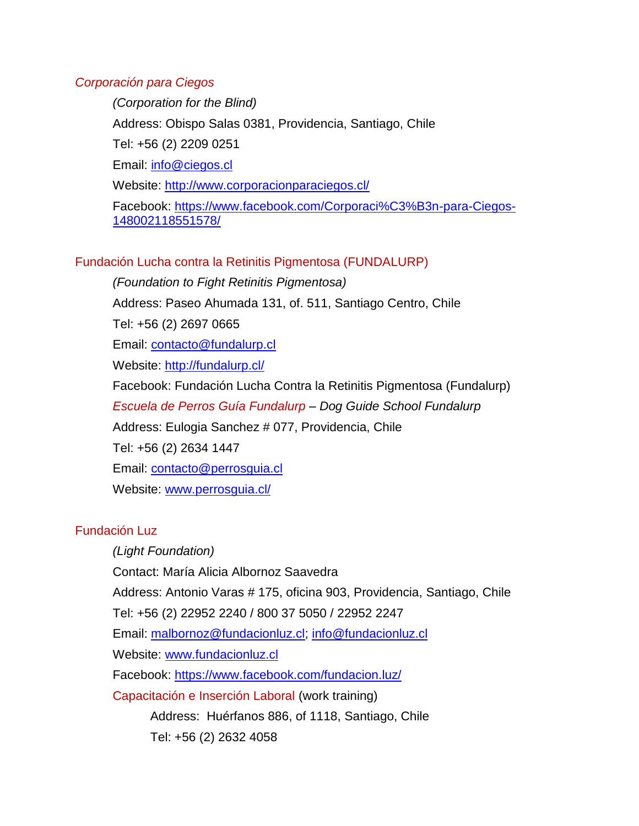## *Corporación para Ciegos*

*(Corporation for the Blind)* Address: Obispo Salas 0381, Providencia, Santiago, Chile Tel: +56 (2) 2209 0251 Email: [info@ciegos.cl](mailto:info@ciegos.cl) Website:<http://www.corporacionparaciegos.cl/> Facebook: [https://www.facebook.com/Corporaci%C3%B3n-para-Ciegos-](https://www.facebook.com/Corporaci%C3%B3n-para-Ciegos-148002118551578/)[148002118551578/](https://www.facebook.com/Corporaci%C3%B3n-para-Ciegos-148002118551578/)

## Fundación Lucha contra la Retinitis Pigmentosa (FUNDALURP)

*(Foundation to Fight Retinitis Pigmentosa)* Address: Paseo Ahumada 131, of. 511, Santiago Centro, Chile Tel: +56 (2) 2697 0665 Email: [contacto@fundalurp.cl](mailto:contacto@fundalurp.cl) Website:<http://fundalurp.cl/> Facebook: Fundación Lucha Contra la Retinitis Pigmentosa (Fundalurp) *Escuela de Perros Guía Fundalurp – Dog Guide School Fundalurp* Address: Eulogia Sanchez # 077, Providencia, Chile Tel: +56 (2) 2634 1447 Email: [contacto@perrosguia.cl](mailto:contacto@perrosguia.cl) Website: [www.perrosguia.cl/](http://www.perrosguia.cl/)

## Fundación Luz

*(Light Foundation)* Contact: María Alicia Albornoz Saavedra Address: Antonio Varas # 175, oficina 903, Providencia, Santiago, Chile Tel: +56 (2) 22952 2240 / 800 37 5050 / 22952 2247 Email: [malbornoz@fundacionluz.cl;](mailto:malbornoz@fundacionluz.cl) [info@fundacionluz.cl](mailto:info@fundacionluz.cl) Website: [www.fundacionluz.cl](http://www.fundacionluz.cl/) Facebook:<https://www.facebook.com/fundacion.luz/> Capacitación e Inserción Laboral (work training) Address: Huérfanos 886, of 1118, Santiago, Chile Tel: +56 (2) 2632 4058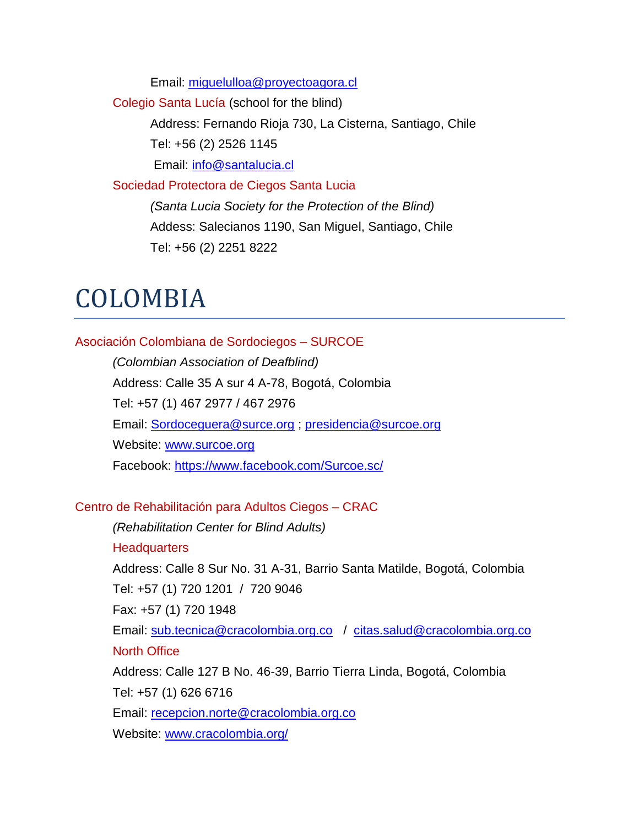Email: [miguelulloa@proyectoagora.cl](mailto:miguelulloa@proyectoagora.cl) 

Colegio Santa Lucía (school for the blind)

Address: Fernando Rioja 730, La Cisterna, Santiago, Chile Tel: +56 (2) 2526 1145

Email: [info@santalucia.cl](mailto:info@santalucia.cl)

Sociedad Protectora de Ciegos Santa Lucia *(Santa Lucia Society for the Protection of the Blind)* Addess: Salecianos 1190, San Miguel, Santiago, Chile Tel: +56 (2) 2251 8222

## COLOMBIA

## Asociación Colombiana de Sordociegos – SURCOE

*(Colombian Association of Deafblind)* Address: Calle 35 A sur 4 A-78, Bogotá, Colombia Tel: +57 (1) 467 2977 / 467 2976 Email: [Sordoceguera@surce.org](mailto:Sordoceguera@surce.org) ; [presidencia@surcoe.org](mailto:presidencia@surcoe.org) Website: [www.surcoe.org](http://www.surcoe.org/) Facebook:<https://www.facebook.com/Surcoe.sc/>

## Centro de Rehabilitación para Adultos Ciegos – CRAC

*(Rehabilitation Center for Blind Adults)* **Headquarters** Address: Calle 8 Sur No. 31 A-31, Barrio Santa Matilde, Bogotá, Colombia Tel: +57 (1) 720 1201 / 720 9046 Fax: +57 (1) 720 1948 Email: [sub.tecnica@cracolombia.org.co](mailto:sub.tecnica@cracolombia.org.co) / [citas.salud@cracolombia.org.co](mailto:citas.salud@cracolombia.org.co) North Office Address: Calle 127 B No. 46-39, Barrio Tierra Linda, Bogotá, Colombia Tel: +57 (1) 626 6716 Email: [recepcion.norte@cracolombia.org.co](mailto:recepcion.norte@cracolombia.org.co) Website: [www.cracolombia.org/](http://www.cracolombia.org/)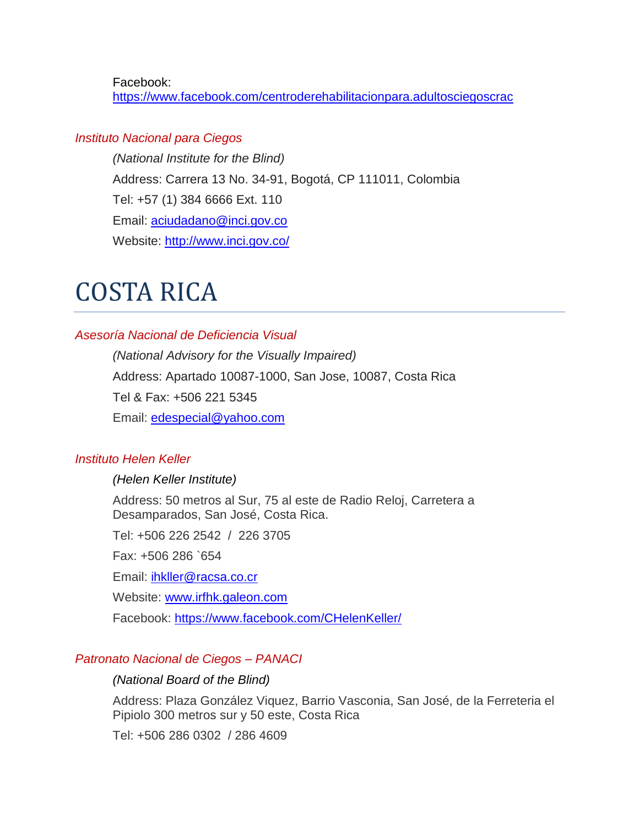Facebook: <https://www.facebook.com/centroderehabilitacionpara.adultosciegoscrac>

#### *[Instituto Nacional para Ciegos](http://www.inci.gov.co/)*

*(National Institute for the Blind)* Address: Carrera 13 No. 34-91, Bogotá, CP 111011, Colombia Tel: +57 (1) 384 6666 Ext. 110 Email: [aciudadano@inci.gov.co](mailto:aciudadano@inci.gov.co) Website:<http://www.inci.gov.co/>

## COSTA RICA

## *Asesoría Nacional de Deficiencia Visual*

*(National Advisory for the Visually Impaired)* Address: Apartado 10087-1000, San Jose, 10087, Costa Rica Tel & Fax: +506 221 5345 Email: [edespecial@yahoo.com](mailto:edespecial@yahoo.com)

## *Instituto Helen Keller*

#### *(Helen Keller Institute)*

Address: 50 metros al Sur, 75 al este de Radio Reloj, Carretera a Desamparados, San José, Costa Rica.

Tel: +506 226 2542 / 226 3705

Fax: +506 286 `654

Email: *ihkller@racsa.co.cr* 

Website: [www.irfhk.galeon.com](http://www.irfhk.galeon.com/)

Facebook:<https://www.facebook.com/CHelenKeller/>

#### *Patronato Nacional de Ciegos – PANACI*

#### *(National Board of the Blind)*

Address: Plaza González Viquez, Barrio Vasconia, San José, de la Ferreteria el Pipiolo 300 metros sur y 50 este, Costa Rica

Tel: +506 286 0302 / 286 4609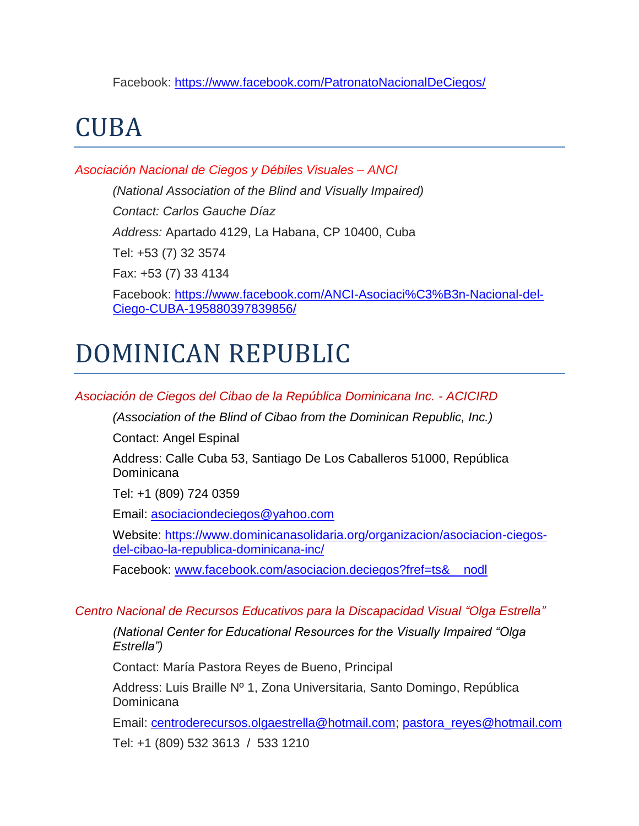Facebook:<https://www.facebook.com/PatronatoNacionalDeCiegos/>

# CUBA

*Asociación Nacional de Ciegos y Débiles Visuales – ANCI* 

*(National Association of the Blind and Visually Impaired) Contact: Carlos Gauche Díaz Address:* Apartado 4129, La Habana, CP 10400, Cuba Tel: +53 (7) 32 3574 Fax: +53 (7) 33 4134

Facebook: [https://www.facebook.com/ANCI-Asociaci%C3%B3n-Nacional-del-](https://www.facebook.com/ANCI-Asociaci%C3%B3n-Nacional-del-Ciego-CUBA-195880397839856/)[Ciego-CUBA-195880397839856/](https://www.facebook.com/ANCI-Asociaci%C3%B3n-Nacional-del-Ciego-CUBA-195880397839856/)

# DOMINICAN REPUBLIC

*Asociación de Ciegos del Cibao de la República Dominicana Inc. - ACICIRD*

*(Association of the Blind of Cibao from the Dominican Republic, Inc.)*

Contact: Angel Espinal

Address: Calle Cuba 53, Santiago De Los Caballeros 51000, República Dominicana

Tel: +1 (809) 724 0359

Email: [asociaciondeciegos@yahoo.com](mailto:asociaciondeciegos@yahoo.com)

Website: [https://www.dominicanasolidaria.org/organizacion/asociacion-ciegos](https://www.dominicanasolidaria.org/organizacion/asociacion-ciegos-del-cibao-la-republica-dominicana-inc/)[del-cibao-la-republica-dominicana-inc/](https://www.dominicanasolidaria.org/organizacion/asociacion-ciegos-del-cibao-la-republica-dominicana-inc/)

Facebook: www.facebook.com/asociacion.deciegos?fref=ts& nodl

## *Centro Nacional de Recursos Educativos para la Discapacidad Visual "Olga Estrella"*

*(National Center for Educational Resources for the Visually Impaired "Olga Estrella")*

Contact: María Pastora Reyes de Bueno, Principal

Address: Luis Braille Nº 1, Zona Universitaria, Santo Domingo, República Dominicana

Email: [centroderecursos.olgaestrella@hotmail.com;](mailto:centroderecursos.olgaestrella@hotmail.com) [pastora\\_reyes@hotmail.com](mailto:pastora_reyes@hotmail.com)

Tel: +1 (809) 532 3613 / 533 1210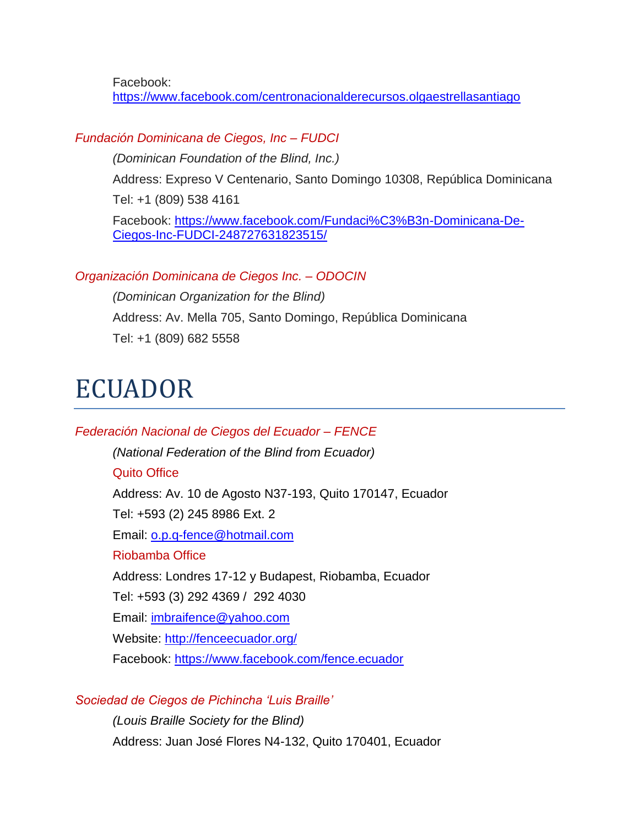Facebook: <https://www.facebook.com/centronacionalderecursos.olgaestrellasantiago>

## *Fundación Dominicana de Ciegos, Inc – FUDCI*

*(Dominican Foundation of the Blind, Inc.)*

Address: Expreso V Centenario, Santo Domingo 10308, República Dominicana Tel: +1 (809) 538 4161

Facebook: [https://www.facebook.com/Fundaci%C3%B3n-Dominicana-De-](https://www.facebook.com/Fundaci%C3%B3n-Dominicana-De-Ciegos-Inc-FUDCI-248727631823515/)[Ciegos-Inc-FUDCI-248727631823515/](https://www.facebook.com/Fundaci%C3%B3n-Dominicana-De-Ciegos-Inc-FUDCI-248727631823515/)

## *Organización Dominicana de Ciegos Inc. – ODOCIN*

*(Dominican Organization for the Blind)* Address: Av. Mella 705, Santo Domingo, República Dominicana Tel: +1 (809) 682 5558

# ECUADOR

*Federación Nacional de Ciegos del Ecuador – FENCE (National Federation of the Blind from Ecuador)* Quito Office Address: Av. 10 de Agosto N37-193, Quito 170147, Ecuador Tel: +593 (2) 245 8986 Ext. 2 Email: [o.p.q-fence@hotmail.com](mailto:o.p.q-fence@hotmail.com) Riobamba Office Address: Londres 17-12 y Budapest, Riobamba, Ecuador Tel: +593 (3) 292 4369 / 292 4030 Email: [imbraifence@yahoo.com](mailto:imbraifence@yahoo.com) Website:<http://fenceecuador.org/> Facebook:<https://www.facebook.com/fence.ecuador>

## *Sociedad de Ciegos de Pichincha 'Luis Braille'*

*(Louis Braille Society for the Blind)* Address: Juan José Flores N4-132, Quito 170401, Ecuador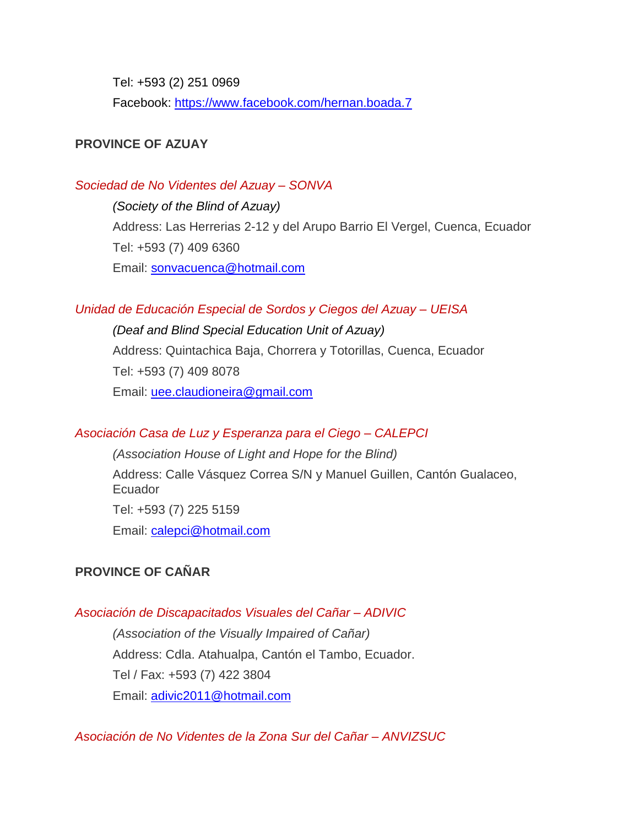Tel: +593 (2) 251 0969

Facebook:<https://www.facebook.com/hernan.boada.7>

## **PROVINCE OF AZUAY**

## *Sociedad de No Videntes del Azuay – SONVA*

*(Society of the Blind of Azuay)* Address: Las Herrerias 2-12 y del Arupo Barrio El Vergel, Cuenca, Ecuador Tel: +593 (7) 409 6360 Email: [sonvacuenca@hotmail.com](mailto:sonvacuenca@hotmail.com)

## *Unidad de Educación Especial de Sordos y Ciegos del Azuay – UEISA*

*(Deaf and Blind Special Education Unit of Azuay)* Address: Quintachica Baja, Chorrera y Totorillas, Cuenca, Ecuador Tel: +593 (7) 409 8078 Email: [uee.claudioneira@gmail.com](mailto:uee.claudioneira@gmail.com)

## *Asociación Casa de Luz y Esperanza para el Ciego – CALEPCI*

*(Association House of Light and Hope for the Blind)* Address: Calle Vásquez Correa S/N y Manuel Guillen, Cantón Gualaceo, Ecuador Tel: +593 (7) 225 5159 Email: [calepci@hotmail.com](mailto:calepci@hotmail.com)

## **PROVINCE OF CAÑAR**

## *Asociación de Discapacitados Visuales del Cañar – ADIVIC*

*(Association of the Visually Impaired of Cañar)*  Address: Cdla. Atahualpa, Cantón el Tambo, Ecuador. Tel / Fax: +593 (7) 422 3804 Email: [adivic2011@hotmail.com](mailto:adivic2011@hotmail.com)

*Asociación de No Videntes de la Zona Sur del Cañar – ANVIZSUC*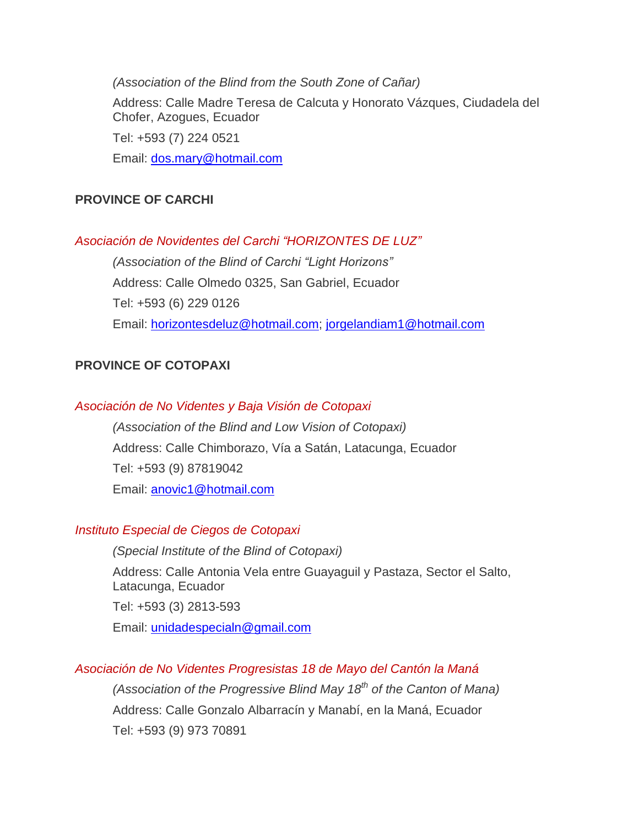*(Association of the Blind from the South Zone of Cañar)* Address: Calle Madre Teresa de Calcuta y Honorato Vázques, Ciudadela del Chofer, Azogues, Ecuador Tel: +593 (7) 224 0521 Email: [dos.mary@hotmail.com](mailto:dos.mary@hotmail.com)

## **PROVINCE OF CARCHI**

## *Asociación de Novidentes del Carchi "HORIZONTES DE LUZ"*

*(Association of the Blind of Carchi "Light Horizons"*  Address: Calle Olmedo 0325, San Gabriel, Ecuador Tel: +593 (6) 229 0126 Email: [horizontesdeluz@hotmail.com;](mailto:horizontesdeluz@hotmail.com) [jorgelandiam1@hotmail.com](mailto:jorgelandiam1@hotmail.com)

## **PROVINCE OF COTOPAXI**

## *Asociación de No Videntes y Baja Visión de Cotopaxi*

*(Association of the Blind and Low Vision of Cotopaxi)* Address: Calle Chimborazo, Vía a Satán, Latacunga, Ecuador Tel: +593 (9) 87819042 Email: [anovic1@hotmail.com](mailto:anovic1@hotmail.com)

## *Instituto Especial de Ciegos de Cotopaxi*

*(Special Institute of the Blind of Cotopaxi)* Address: Calle Antonia Vela entre Guayaguil y Pastaza, Sector el Salto, Latacunga, Ecuador Tel: +593 (3) 2813-593 Email: [unidadespecialn@gmail.com](mailto:unidadespecialn@gmail.com)

## *Asociación de No Videntes Progresistas 18 de Mayo del Cantón la Maná*

*(Association of the Progressive Blind May 18th of the Canton of Mana)* Address: Calle Gonzalo Albarracín y Manabí, en la Maná, Ecuador Tel: +593 (9) 973 70891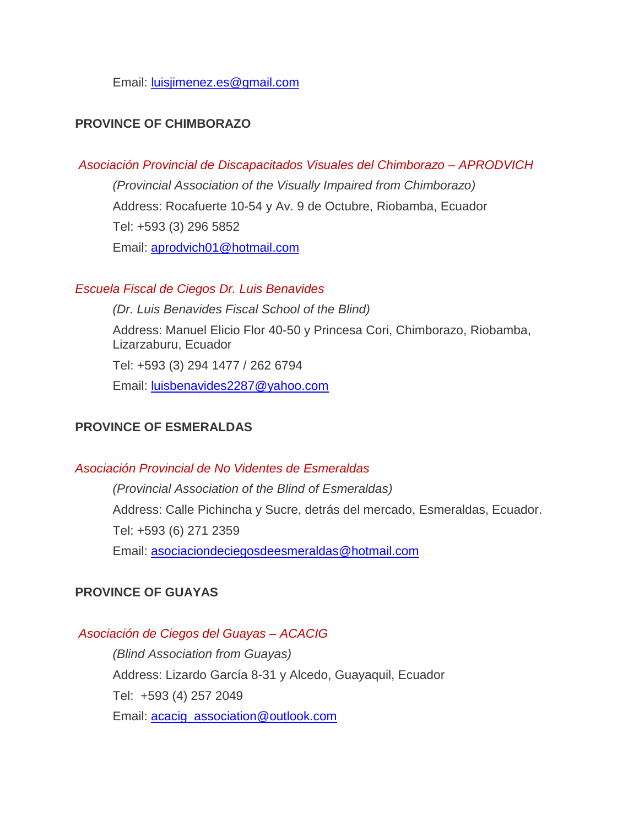Email: [luisjimenez.es@gmail.com](mailto:luisjimenez.es@gmail.com)

## **PROVINCE OF CHIMBORAZO**

#### *Asociación Provincial de Discapacitados Visuales del Chimborazo – APRODVICH*

*(Provincial Association of the Visually Impaired from Chimborazo)* Address: Rocafuerte 10-54 y Av. 9 de Octubre, Riobamba, Ecuador Tel: +593 (3) 296 5852 Email: [aprodvich01@hotmail.com](mailto:aprodvich01@hotmail.com)

#### *Escuela Fiscal de Ciegos Dr. Luis Benavides*

*(Dr. Luis Benavides Fiscal School of the Blind)* Address: Manuel Elicio Flor 40-50 y Princesa Cori, Chimborazo, Riobamba, Lizarzaburu, Ecuador Tel: +593 (3) 294 1477 / 262 6794 Email: [luisbenavides2287@yahoo.com](mailto:luisbenavides2287@yahoo.com)

## **PROVINCE OF ESMERALDAS**

#### *Asociación Provincial de No Videntes de Esmeraldas*

*(Provincial Association of the Blind of Esmeraldas)* Address: Calle Pichincha y Sucre, detrás del mercado, Esmeraldas, Ecuador. Tel: +593 (6) 271 2359 Email: [asociaciondeciegosdeesmeraldas@hotmail.com](mailto:asociaciondeciegosdeesmeraldas@hotmail.com)

## **PROVINCE OF GUAYAS**

#### *Asociación de Ciegos del Guayas – ACACIG*

*(Blind Association from Guayas)* Address: Lizardo García 8-31 y Alcedo, Guayaquil, Ecuador Tel: +593 (4) 257 2049 Email: [acacig\\_association@outlook.com](mailto:acacig_association@outlook.com)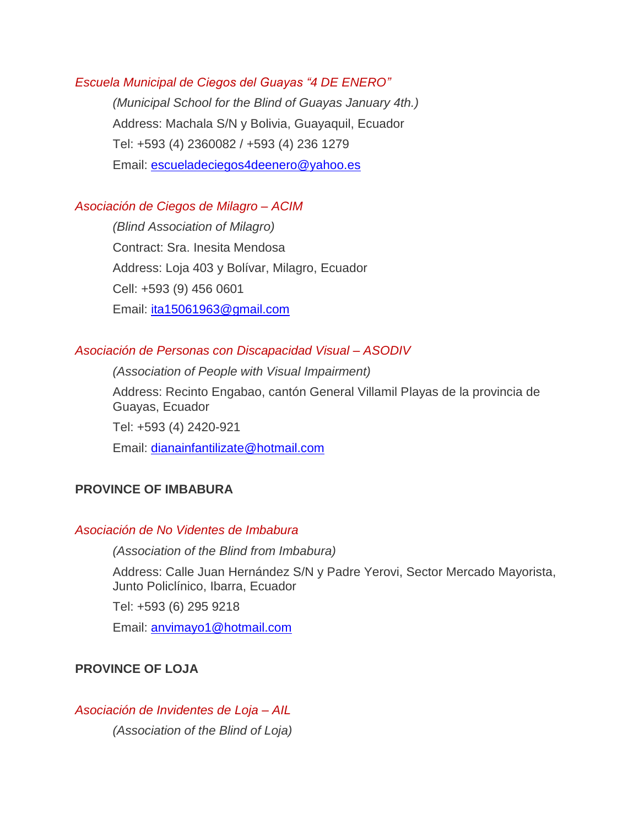#### *Escuela Municipal de Ciegos del Guayas "4 DE ENERO"*

*(Municipal School for the Blind of Guayas January 4th.)* Address: Machala S/N y Bolivia, Guayaquil, Ecuador Tel: +593 (4) 2360082 / +593 (4) 236 1279 Email: [escueladeciegos4deenero@yahoo.es](mailto:escueladeciegos4deenero@yahoo.es)

#### *Asociación de Ciegos de Milagro – ACIM*

*(Blind Association of Milagro)* Contract: Sra. Inesita Mendosa Address: Loja 403 y Bolívar, Milagro, Ecuador Cell: +593 (9) 456 0601 Email: [ita15061963@gmail.com](mailto:ita15061963@gmail.com)

## *Asociación de Personas con Discapacidad Visual – ASODIV*

*(Association of People with Visual Impairment)*

Address: Recinto Engabao, cantón General Villamil Playas de la provincia de Guayas, Ecuador

Tel: +593 (4) 2420-921 Email: [dianainfantilizate@hotmail.com](mailto:dianainfantilizate@hotmail.com)

## **PROVINCE OF IMBABURA**

## *Asociación de No Videntes de Imbabura*

*(Association of the Blind from Imbabura)*

Address: Calle Juan Hernández S/N y Padre Yerovi, Sector Mercado Mayorista, Junto Policlínico, Ibarra, Ecuador

Tel: +593 (6) 295 9218

Email: [anvimayo1@hotmail.com](mailto:anvimayo1@hotmail.com)

## **PROVINCE OF LOJA**

*Asociación de Invidentes de Loja – AIL (Association of the Blind of Loja)*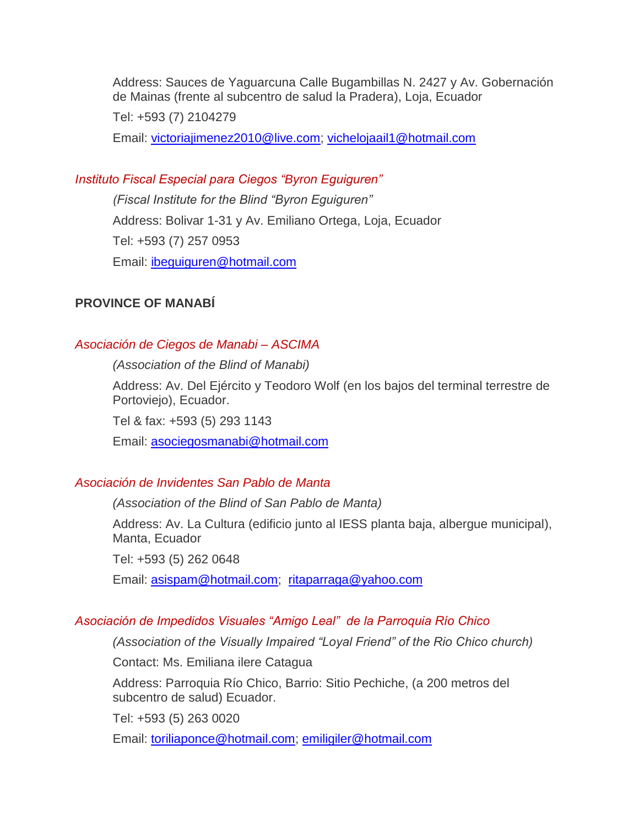Address: Sauces de Yaguarcuna Calle Bugambillas N. 2427 y Av. Gobernación de Mainas (frente al subcentro de salud la Pradera), Loja, Ecuador

Tel: +593 (7) 2104279

Email: [victoriajimenez2010@live.com;](mailto:victoriajimenez2010@live.com) [vichelojaail1@hotmail.com](mailto:vichelojaail1@hotmail.com)

## *Instituto Fiscal Especial para Ciegos "Byron Eguiguren"*

*(Fiscal Institute for the Blind "Byron Eguiguren"* Address: Bolivar 1-31 y Av. Emiliano Ortega, Loja, Ecuador Tel: +593 (7) 257 0953 Email: [ibeguiguren@hotmail.com](mailto:ibeguiguren@hotmail.com)

## **PROVINCE OF MANABÍ**

#### *Asociación de Ciegos de Manabi – ASCIMA*

*(Association of the Blind of Manabi)*

Address: Av. Del Ejército y Teodoro Wolf (en los bajos del terminal terrestre de Portoviejo), Ecuador.

Tel & fax: +593 (5) 293 1143

Email: [asociegosmanabi@hotmail.com](mailto:asociegosmanabi@hotmail.com)

#### *Asociación de Invidentes San Pablo de Manta*

*(Association of the Blind of San Pablo de Manta)*

Address: Av. La Cultura (edificio junto al IESS planta baja, albergue municipal), Manta, Ecuador

Tel: +593 (5) 262 0648

Email: [asispam@hotmail.com;](mailto:asispam@hotmail.com) [ritaparraga@yahoo.com](mailto:ritaparraga@yahoo.com)

#### *Asociación de Impedidos Visuales "Amigo Leal" de la Parroquia Río Chico*

*(Association of the Visually Impaired "Loyal Friend" of the Rio Chico church)*

Contact: Ms. Emiliana ilere Catagua

Address: Parroquia Río Chico, Barrio: Sitio Pechiche, (a 200 metros del subcentro de salud) Ecuador.

Tel: +593 (5) 263 0020

Email: [toriliaponce@hotmail.com;](mailto:toriliaponce@hotmail.com) [emiligiler@hotmail.com](mailto:emiligiler@hotmail.com)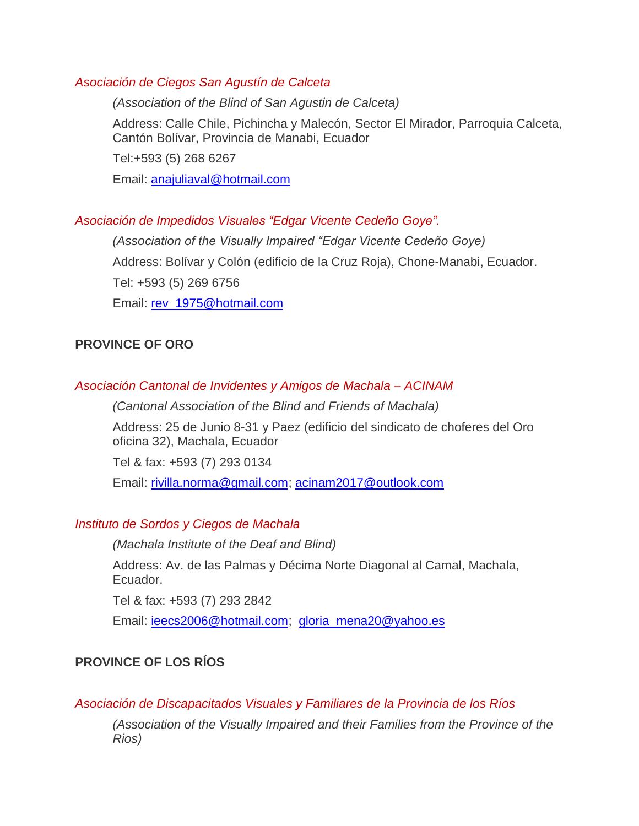## *Asociación de Ciegos San Agustín de Calceta*

*(Association of the Blind of San Agustin de Calceta)* 

Address: Calle Chile, Pichincha y Malecón, Sector El Mirador, Parroquia Calceta, Cantón Bolívar, Provincia de Manabi, Ecuador

Tel:+593 (5) 268 6267

Email: [anajuliaval@hotmail.com](mailto:anajuliaval@hotmail.com)

## *Asociación de Impedidos Visuales "Edgar Vicente Cedeño Goye".*

*(Association of the Visually Impaired "Edgar Vicente Cedeño Goye)* Address: Bolívar y Colón (edificio de la Cruz Roja), Chone-Manabi, Ecuador. Tel: +593 (5) 269 6756 Email: [rev\\_1975@hotmail.com](mailto:rev_1975@hotmail.com)

## **PROVINCE OF ORO**

## *Asociación Cantonal de Invidentes y Amigos de Machala – ACINAM*

*(Cantonal Association of the Blind and Friends of Machala)*

Address: 25 de Junio 8-31 y Paez (edificio del sindicato de choferes del Oro oficina 32), Machala, Ecuador

Tel & fax: +593 (7) 293 0134

Email: [rivilla.norma@gmail.com;](mailto:rivilla.norma@gmail.com) [acinam2017@outlook.com](mailto:acinam2017@outlook.com)

## *Instituto de Sordos y Ciegos de Machala*

*(Machala Institute of the Deaf and Blind)*

Address: Av. de las Palmas y Décima Norte Diagonal al Camal, Machala, Ecuador.

Tel & fax: +593 (7) 293 2842

Email: [ieecs2006@hotmail.com;](mailto:ieecs2006@hotmail.com) [gloria\\_mena20@yahoo.es](mailto:gloria_mena20@yahoo.es)

## **PROVINCE OF LOS RÍOS**

## *Asociación de Discapacitados Visuales y Familiares de la Provincia de los Ríos*

*(Association of the Visually Impaired and their Families from the Province of the Rios)*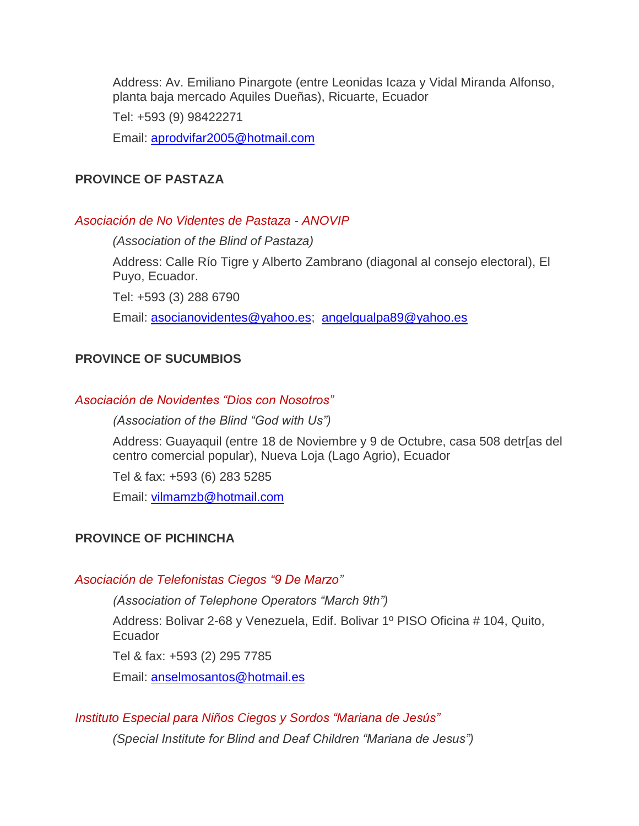Address: Av. Emiliano Pinargote (entre Leonidas Icaza y Vidal Miranda Alfonso, planta baja mercado Aquiles Dueñas), Ricuarte, Ecuador

Tel: +593 (9) 98422271

Email: [aprodvifar2005@hotmail.com](mailto:aprodvifar2005@hotmail.com)

#### **PROVINCE OF PASTAZA**

#### *Asociación de No Videntes de Pastaza - ANOVIP*

*(Association of the Blind of Pastaza)* Address: Calle Río Tigre y Alberto Zambrano (diagonal al consejo electoral), El Puyo, Ecuador. Tel: +593 (3) 288 6790 Email: [asocianovidentes@yahoo.es;](mailto:asocianovidentes@yahoo.es) [angelgualpa89@yahoo.es](mailto:angelgualpa89@yahoo.es)

## **PROVINCE OF SUCUMBIOS**

#### *Asociación de Novidentes "Dios con Nosotros"*

*(Association of the Blind "God with Us")*

Address: Guayaquil (entre 18 de Noviembre y 9 de Octubre, casa 508 detr[as del centro comercial popular), Nueva Loja (Lago Agrio), Ecuador

Tel & fax: +593 (6) 283 5285

Email: [vilmamzb@hotmail.com](mailto:vilmamzb@hotmail.com)

## **PROVINCE OF PICHINCHA**

#### *Asociación de Telefonistas Ciegos "9 De Marzo"*

*(Association of Telephone Operators "March 9th")*

Address: Bolivar 2-68 y Venezuela, Edif. Bolivar 1º PISO Oficina # 104, Quito, Ecuador

Tel & fax: +593 (2) 295 7785

Email: [anselmosantos@hotmail.es](mailto:anselmosantos@hotmail.es)

## *Instituto Especial para Niños Ciegos y Sordos "Mariana de Jesús"*

*(Special Institute for Blind and Deaf Children "Mariana de Jesus")*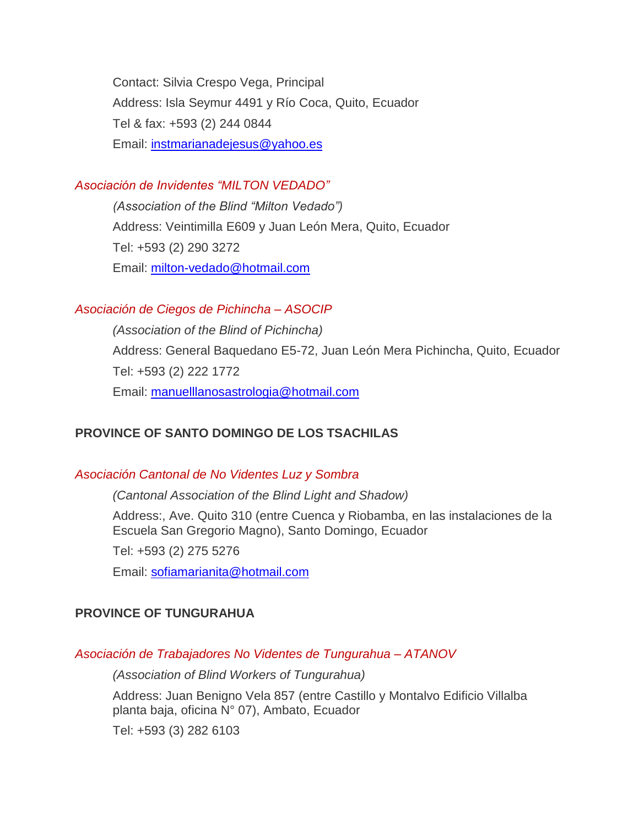Contact: Silvia Crespo Vega, Principal Address: Isla Seymur 4491 y Río Coca, Quito, Ecuador Tel & fax: +593 (2) 244 0844 Email: [instmarianadejesus@yahoo.es](mailto:instmarianadejesus@yahoo.es)

## *Asociación de Invidentes "MILTON VEDADO"*

*(Association of the Blind "Milton Vedado")* Address: Veintimilla E609 y Juan León Mera, Quito, Ecuador Tel: +593 (2) 290 3272 Email: [milton-vedado@hotmail.com](mailto:milton-vedado@hotmail.com)

## *Asociación de Ciegos de Pichincha – ASOCIP*

*(Association of the Blind of Pichincha)* Address: General Baquedano E5-72, Juan León Mera Pichincha, Quito, Ecuador Tel: +593 (2) 222 1772 Email: [manuelllanosastrologia@hotmail.com](mailto:manuelllanosastrologia@hotmail.com)

## **PROVINCE OF SANTO DOMINGO DE LOS TSACHILAS**

## *Asociación Cantonal de No Videntes Luz y Sombra*

*(Cantonal Association of the Blind Light and Shadow)*

Address:, Ave. Quito 310 (entre Cuenca y Riobamba, en las instalaciones de la Escuela San Gregorio Magno), Santo Domingo, Ecuador

Tel: +593 (2) 275 5276

Email: [sofiamarianita@hotmail.com](mailto:sofiamarianita@hotmail.com)

## **PROVINCE OF TUNGURAHUA**

## *Asociación de Trabajadores No Videntes de Tungurahua – ATANOV*

*(Association of Blind Workers of Tungurahua)*

Address: Juan Benigno Vela 857 (entre Castillo y Montalvo Edificio Villalba planta baja, oficina N° 07), Ambato, Ecuador

Tel: +593 (3) 282 6103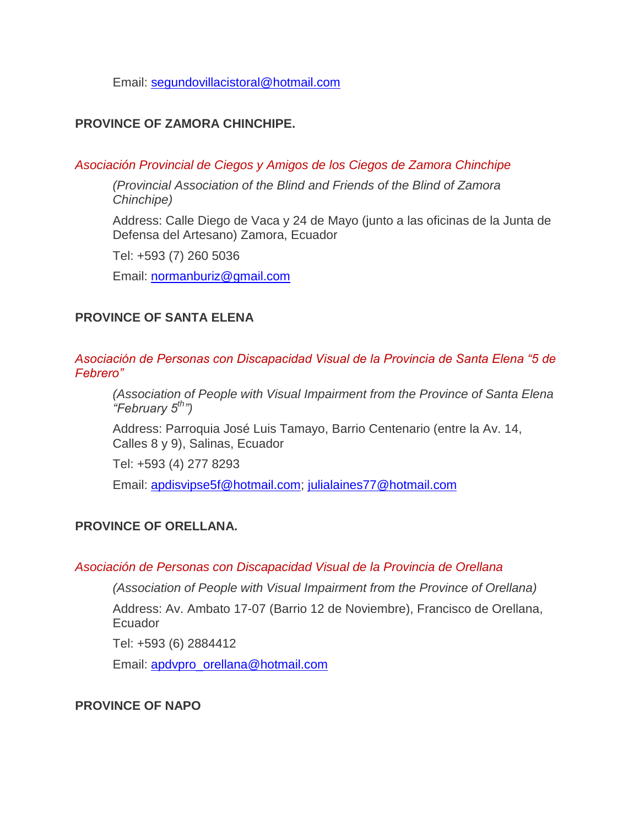Email: [segundovillacistoral@hotmail.com](mailto:segundovillacistoral@hotmail.com)

## **PROVINCE OF ZAMORA CHINCHIPE.**

#### *Asociación Provincial de Ciegos y Amigos de los Ciegos de Zamora Chinchipe*

*(Provincial Association of the Blind and Friends of the Blind of Zamora Chinchipe)*

Address: Calle Diego de Vaca y 24 de Mayo (junto a las oficinas de la Junta de Defensa del Artesano) Zamora, Ecuador

Tel: +593 (7) 260 5036

Email: [normanburiz@gmail.com](mailto:normanburiz@gmail.com)

## **PROVINCE OF SANTA ELENA**

*Asociación de Personas con Discapacidad Visual de la Provincia de Santa Elena "5 de Febrero"*

*(Association of People with Visual Impairment from the Province of Santa Elena "February 5th")*

Address: Parroquia José Luis Tamayo, Barrio Centenario (entre la Av. 14, Calles 8 y 9), Salinas, Ecuador

Tel: +593 (4) 277 8293

Email: [apdisvipse5f@hotmail.com;](mailto:apdisvipse5f@hotmail.com) [julialaines77@hotmail.com](mailto:julialaines77@hotmail.com)

## **PROVINCE OF ORELLANA.**

#### *Asociación de Personas con Discapacidad Visual de la Provincia de Orellana*

*(Association of People with Visual Impairment from the Province of Orellana)*

Address: Av. Ambato 17-07 (Barrio 12 de Noviembre), Francisco de Orellana, **Ecuador** 

Tel: +593 (6) 2884412

Email: [apdvpro\\_orellana@hotmail.com](mailto:apdvpro_orellana@hotmail.com)

## **PROVINCE OF NAPO**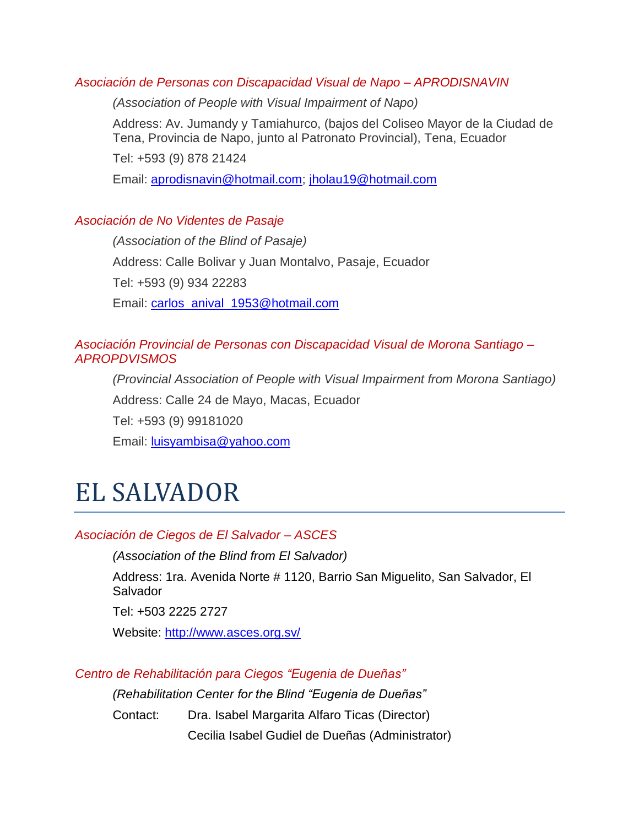## *Asociación de Personas con Discapacidad Visual de Napo – APRODISNAVIN*

*(Association of People with Visual Impairment of Napo)*

Address: Av. Jumandy y Tamiahurco, (bajos del Coliseo Mayor de la Ciudad de Tena, Provincia de Napo, junto al Patronato Provincial), Tena, Ecuador

Tel: +593 (9) 878 21424

Email: [aprodisnavin@hotmail.com;](mailto:aprodisnavin@hotmail.com) [jholau19@hotmail.com](mailto:jholau19@hotmail.com)

## *Asociación de No Videntes de Pasaje*

*(Association of the Blind of Pasaje)* Address: Calle Bolivar y Juan Montalvo, Pasaje, Ecuador Tel: +593 (9) 934 22283 Email: [carlos\\_anival\\_1953@hotmail.com](mailto:carlos_anival_1953@hotmail.com)

## *Asociación Provincial de Personas con Discapacidad Visual de Morona Santiago – APROPDVISMOS*

*(Provincial Association of People with Visual Impairment from Morona Santiago)* Address: Calle 24 de Mayo, Macas, Ecuador Tel: +593 (9) 99181020 Email: [luisyambisa@yahoo.com](mailto:luisyambisa@yahoo.com)

# EL SALVADOR

## *Asociación de Ciegos de El Salvador – ASCES*

*(Association of the Blind from El Salvador)*

Address: 1ra. Avenida Norte # 1120, Barrio San Miguelito, San Salvador, El **Salvador** 

Tel: +503 2225 2727

Website:<http://www.asces.org.sv/>

*Centro de Rehabilitación para Ciegos "Eugenia de Dueñas"* 

*(Rehabilitation Center for the Blind "Eugenia de Dueñas"*

Contact: Dra. Isabel Margarita Alfaro Ticas (Director) Cecilia Isabel Gudiel de Dueñas (Administrator)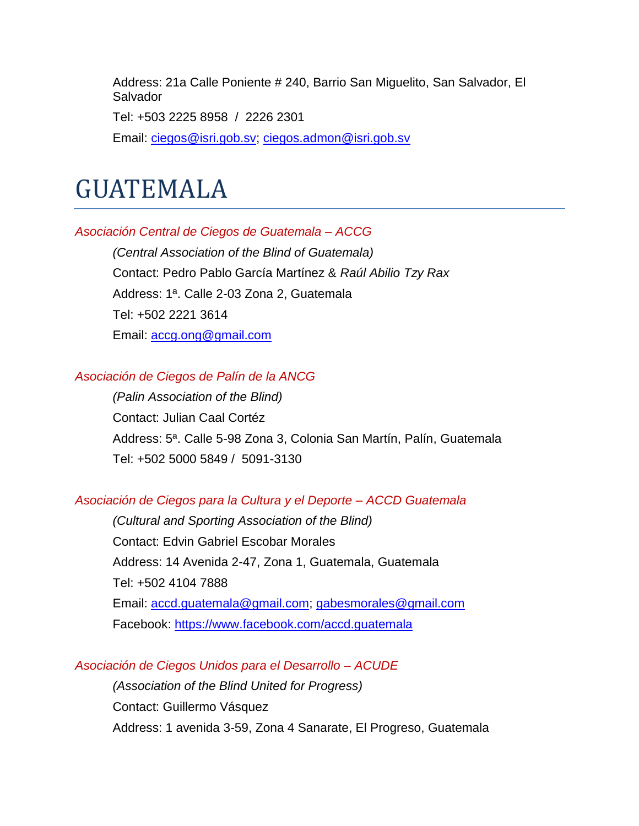Address: 21a Calle Poniente # 240, Barrio San Miguelito, San Salvador, El Salvador

Tel: +503 2225 8958 / 2226 2301

Email: [ciegos@isri.gob.sv;](mailto:ciegos@isri.gob.sv) [ciegos.admon@isri.gob.sv](mailto:ciegos.admon@isri.gob.sv)

## GUATEMALA

#### *Asociación Central de Ciegos de Guatemala – ACCG*

*(Central Association of the Blind of Guatemala)* Contact: Pedro Pablo García Martínez & *Raúl Abilio Tzy Rax* Address: 1ª. Calle 2-03 Zona 2, Guatemala Tel: +502 2221 3614 Email: [accg.ong@gmail.com](mailto:accg.ong@gmail.com)

#### *Asociación de Ciegos de Palín de la ANCG*

*(Palin Association of the Blind)* Contact: Julian Caal Cortéz Address: 5ª. Calle 5-98 Zona 3, Colonia San Martín, Palín, Guatemala Tel: +502 5000 5849 / 5091-3130

#### *Asociación de Ciegos para la Cultura y el Deporte – ACCD Guatemala*

*(Cultural and Sporting Association of the Blind)* Contact: Edvin Gabriel Escobar Morales Address: 14 Avenida 2-47, Zona 1, Guatemala, Guatemala Tel: +502 4104 7888 Email: [accd.guatemala@gmail.com;](mailto:accd.guatemala@gmail.com) [gabesmorales@gmail.com](mailto:gabesmorales@gmail.com) Facebook:<https://www.facebook.com/accd.guatemala>

## *Asociación de Ciegos Unidos para el Desarrollo – ACUDE*

*(Association of the Blind United for Progress)* Contact: Guillermo Vásquez Address: 1 avenida 3-59, Zona 4 Sanarate, El Progreso, Guatemala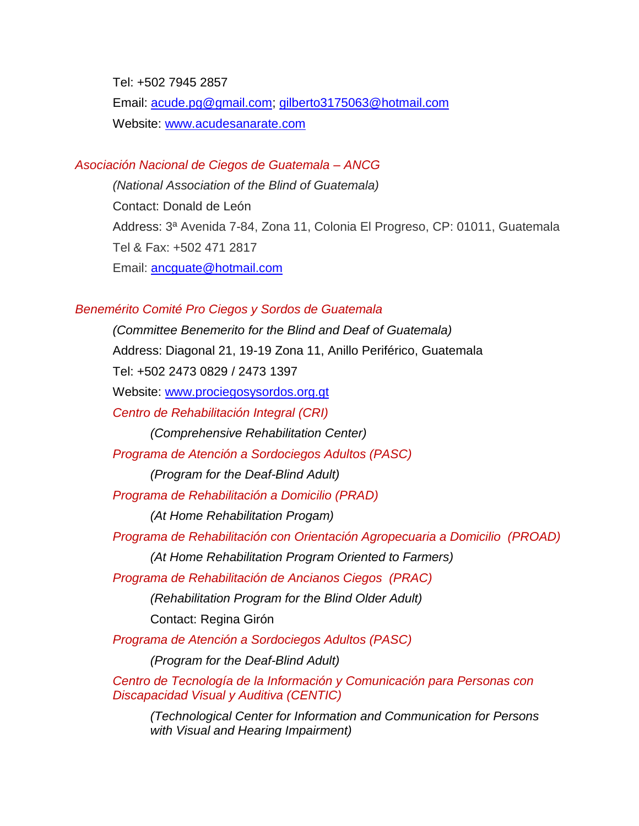Tel: +502 7945 2857 Email: [acude.pg@gmail.com;](mailto:acude.pg@gmail.com) [gilberto3175063@hotmail.com](mailto:gilberto3175063@hotmail.com) Website: [www.acudesanarate.com](http://www.acudesanarate.com/)

#### *Asociación Nacional de Ciegos de Guatemala – ANCG*

*(National Association of the Blind of Guatemala)* Contact: Donald de León Address: 3ª Avenida 7-84, Zona 11, Colonia El Progreso, CP: 01011, Guatemala Tel & Fax: +502 471 2817 Email: [ancguate@hotmail.com](mailto:ancguate@hotmail.com)

#### *Benemérito Comité Pro Ciegos y Sordos de Guatemala*

*(Committee Benemerito for the Blind and Deaf of Guatemala)* Address: Diagonal 21, 19-19 Zona 11, Anillo Periférico, Guatemala Tel: +502 2473 0829 / 2473 1397 Website: [www.prociegosysordos.org.gt](http://www.prociegosysordos.org.gt/) *Centro de Rehabilitación Integral (CRI) (Comprehensive Rehabilitation Center) Programa de Atención a Sordociegos Adultos (PASC) (Program for the Deaf-Blind Adult) Programa de Rehabilitación a Domicilio (PRAD) (At Home Rehabilitation Progam) Programa de Rehabilitación con Orientación Agropecuaria a Domicilio (PROAD) (At Home Rehabilitation Program Oriented to Farmers) Programa de Rehabilitación de Ancianos Ciegos (PRAC) (Rehabilitation Program for the Blind Older Adult)* Contact: Regina Girón *Programa de Atención a Sordociegos Adultos (PASC) (Program for the Deaf-Blind Adult) Centro de Tecnología de la Información y Comunicación para Personas con Discapacidad Visual y Auditiva (CENTIC) (Technological Center for Information and Communication for Persons with Visual and Hearing Impairment)*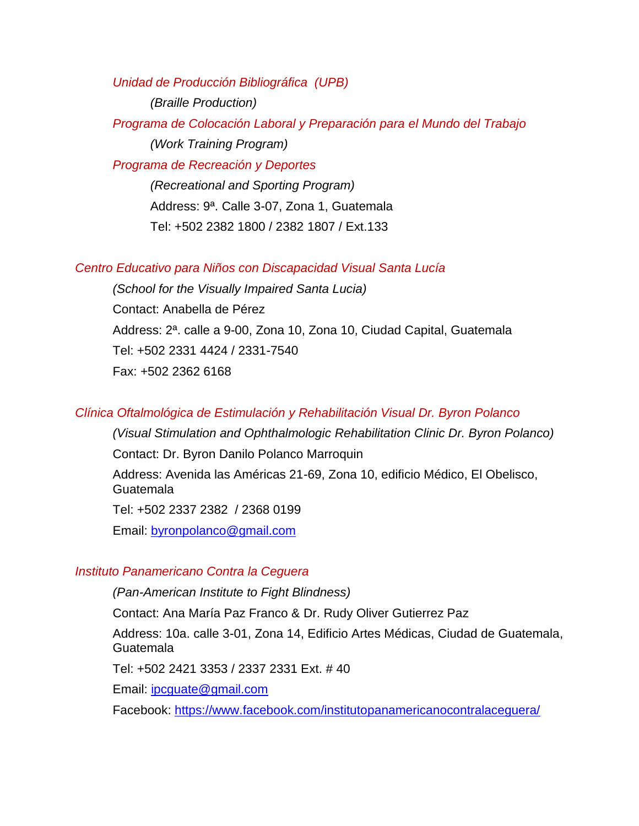*Unidad de Producción Bibliográfica (UPB)*

*(Braille Production)*

*Programa de Colocación Laboral y Preparación para el Mundo del Trabajo (Work Training Program)*

*Programa de Recreación y Deportes*

*(Recreational and Sporting Program)* Address: 9ª. Calle 3-07, Zona 1, Guatemala Tel: +502 2382 1800 / 2382 1807 / Ext.133

#### *Centro Educativo para Niños con Discapacidad Visual Santa Lucía*

*(School for the Visually Impaired Santa Lucia)* Contact: Anabella de Pérez Address: 2ª. calle a 9-00, Zona 10, Zona 10, Ciudad Capital, Guatemala Tel: +502 2331 4424 / 2331-7540 Fax: +502 2362 6168

#### *Clínica Oftalmológica de Estimulación y Rehabilitación Visual Dr. Byron Polanco*

*(Visual Stimulation and Ophthalmologic Rehabilitation Clinic Dr. Byron Polanco)* Contact: Dr. Byron Danilo Polanco Marroquin Address: Avenida las Américas 21-69, Zona 10, edificio Médico, El Obelisco, Guatemala Tel: +502 2337 2382 / 2368 0199 Email: [byronpolanco@gmail.com](mailto:byronpolanco@gmail.com)

#### *Instituto Panamericano Contra la Ceguera*

*(Pan-American Institute to Fight Blindness)*

Contact: Ana María Paz Franco & Dr. Rudy Oliver Gutierrez Paz

Address: 10a. calle 3-01, Zona 14, Edificio Artes Médicas, Ciudad de Guatemala, Guatemala

Tel: +502 2421 3353 / 2337 2331 Ext. # 40

Email: [ipcguate@gmail.com](mailto:ipcguate@gmail.com)

Facebook:<https://www.facebook.com/institutopanamericanocontralaceguera/>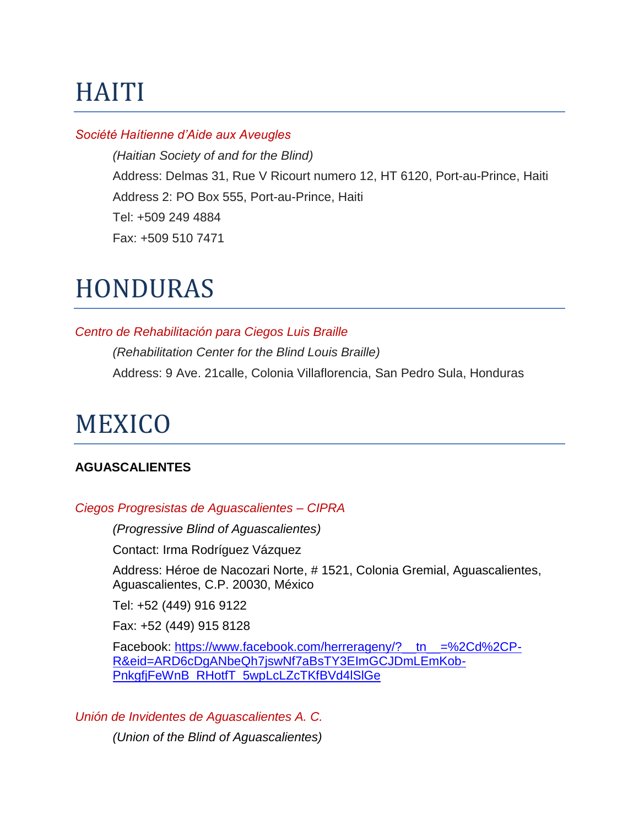# **HAITI**

## *Société Haítienne d'Aide aux Aveugles*

*(Haitian Society of and for the Blind)* Address: Delmas 31, Rue V Ricourt numero 12, HT 6120, Port-au-Prince, Haiti Address 2: PO Box 555, Port-au-Prince, Haiti Tel: +509 249 4884 Fax: +509 510 7471

## HONDURAS

#### *Centro de Rehabilitación para Ciegos Luis Braille*

*(Rehabilitation Center for the Blind Louis Braille)* Address: 9 Ave. 21calle, Colonia Villaflorencia, San Pedro Sula, Honduras

## MEXICO

## **AGUASCALIENTES**

#### *Ciegos Progresistas de Aguascalientes – CIPRA*

*(Progressive Blind of Aguascalientes)*

Contact: Irma Rodríguez Vázquez

Address: Héroe de Nacozari Norte, # 1521, Colonia Gremial, Aguascalientes, Aguascalientes, C.P. 20030, México

Tel: +52 (449) 916 9122

Fax: +52 (449) 915 8128

Facebook: [https://www.facebook.com/herrerageny/?\\_\\_tn\\_\\_=%2Cd%2CP-](https://www.facebook.com/herrerageny/?__tn__=%2Cd%2CP-R&eid=ARD6cDgANbeQh7jswNf7aBsTY3EImGCJDmLEmKob-PnkgfjFeWnB_RHotfT_5wpLcLZcTKfBVd4lSlGe)[R&eid=ARD6cDgANbeQh7jswNf7aBsTY3EImGCJDmLEmKob-](https://www.facebook.com/herrerageny/?__tn__=%2Cd%2CP-R&eid=ARD6cDgANbeQh7jswNf7aBsTY3EImGCJDmLEmKob-PnkgfjFeWnB_RHotfT_5wpLcLZcTKfBVd4lSlGe)[PnkgfjFeWnB\\_RHotfT\\_5wpLcLZcTKfBVd4lSlGe](https://www.facebook.com/herrerageny/?__tn__=%2Cd%2CP-R&eid=ARD6cDgANbeQh7jswNf7aBsTY3EImGCJDmLEmKob-PnkgfjFeWnB_RHotfT_5wpLcLZcTKfBVd4lSlGe)

*Unión de Invidentes de Aguascalientes A. C. (Union of the Blind of Aguascalientes)*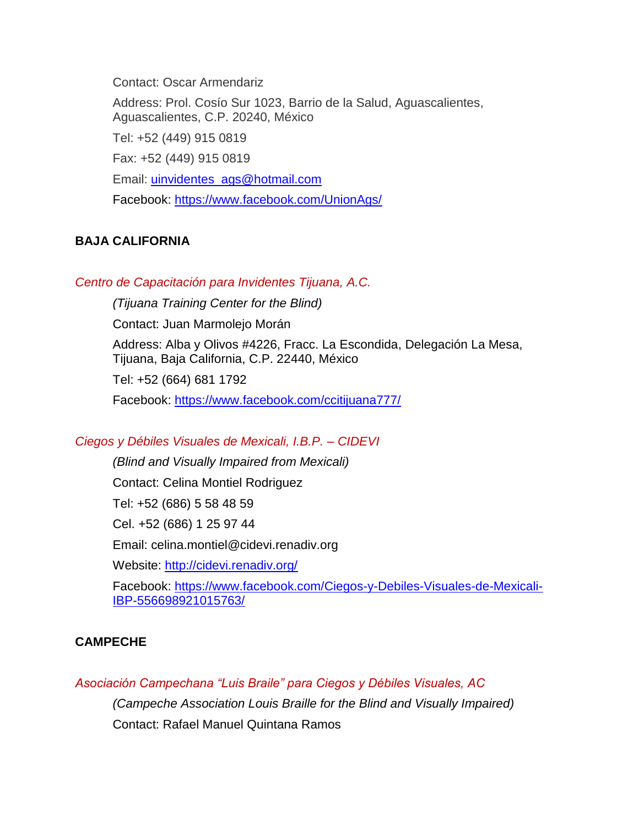Contact: Oscar Armendariz

Address: Prol. Cosío Sur 1023, Barrio de la Salud, Aguascalientes, Aguascalientes, C.P. 20240, México Tel: +52 (449) 915 0819 Fax: +52 (449) 915 0819 Email: [uinvidentes\\_ags@hotmail.com](mailto:uinvidentes_ags@hotmail.com)

Facebook:<https://www.facebook.com/UnionAgs/>

## **BAJA CALIFORNIA**

*Centro de Capacitación para Invidentes Tijuana, A.C.*

*(Tijuana Training Center for the Blind)*

Contact: Juan Marmolejo Morán

Address: Alba y Olivos #4226, Fracc. La Escondida, Delegación La Mesa, Tijuana, Baja California, C.P. 22440, México

Tel: +52 (664) 681 1792

Facebook:<https://www.facebook.com/ccitijuana777/>

## *Ciegos y Débiles Visuales de Mexicali, I.B.P. – CIDEVI*

*(Blind and Visually Impaired from Mexicali)* Contact: Celina Montiel Rodriguez Tel: +52 (686) 5 58 48 59 Cel. +52 (686) 1 25 97 44 Email: celina.montiel@cidevi.renadiv.org Website:<http://cidevi.renadiv.org/> Facebook: [https://www.facebook.com/Ciegos-y-Debiles-Visuales-de-Mexicali-](https://www.facebook.com/Ciegos-y-Debiles-Visuales-de-Mexicali-IBP-556698921015763/)

## [IBP-556698921015763/](https://www.facebook.com/Ciegos-y-Debiles-Visuales-de-Mexicali-IBP-556698921015763/)

## **CAMPECHE**

*Asociación Campechana "Luis Braile" para Ciegos y Débiles Visuales, AC*

*(Campeche Association Louis Braille for the Blind and Visually Impaired)*

Contact: Rafael Manuel Quintana Ramos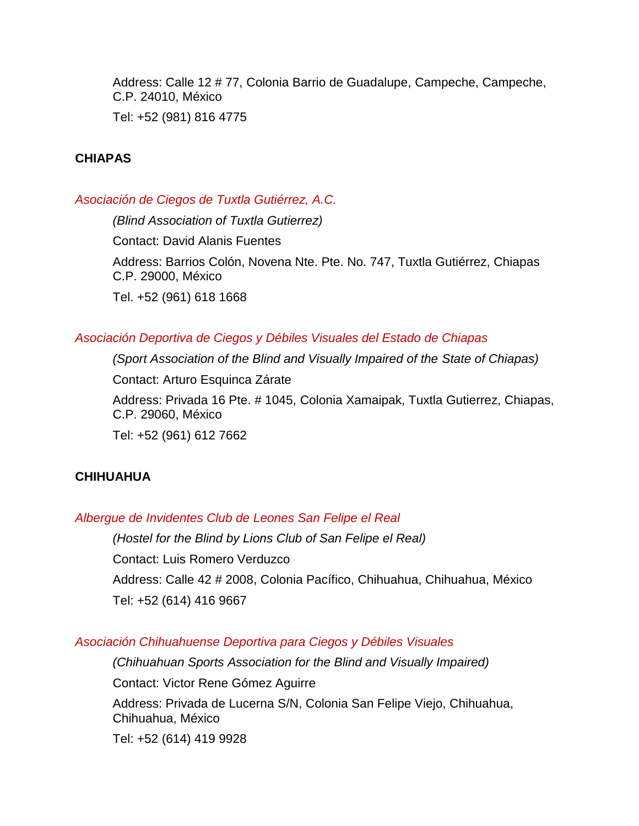Address: Calle 12 # 77, Colonia Barrio de Guadalupe, Campeche, Campeche, C.P. 24010, México

Tel: +52 (981) 816 4775

## **CHIAPAS**

*Asociación de Ciegos de Tuxtla Gutiérrez, A.C.*

*(Blind Association of Tuxtla Gutierrez)*  Contact: David Alanis Fuentes Address: Barrios Colón, Novena Nte. Pte. No. 747, Tuxtla Gutiérrez, Chiapas C.P. 29000, México Tel. +52 (961) 618 1668

## *Asociación Deportiva de Ciegos y Débiles Visuales del Estado de Chiapas*

*(Sport Association of the Blind and Visually Impaired of the State of Chiapas)*

Contact: Arturo Esquinca Zárate

Address: Privada 16 Pte. # 1045, Colonia Xamaipak, Tuxtla Gutierrez, Chiapas, C.P. 29060, México

Tel: +52 (961) 612 7662

## **CHIHUAHUA**

#### *Albergue de Invidentes Club de Leones San Felipe el Real*

*(Hostel for the Blind by Lions Club of San Felipe el Real)* Contact: Luis Romero Verduzco Address: Calle 42 # 2008, Colonia Pacífico, Chihuahua, Chihuahua, México Tel: +52 (614) 416 9667

## *Asociación Chihuahuense Deportiva para Ciegos y Débiles Visuales*

*(Chihuahuan Sports Association for the Blind and Visually Impaired)* Contact: Victor Rene Gómez Aguirre

Address: Privada de Lucerna S/N, Colonia San Felipe Viejo, Chihuahua, Chihuahua, México

Tel: +52 (614) 419 9928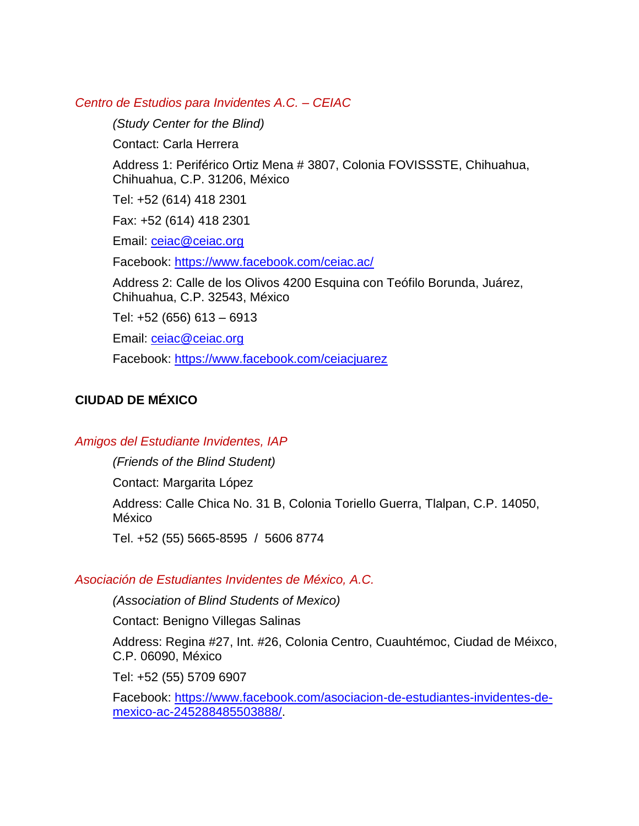#### *Centro de Estudios para Invidentes A.C. – CEIAC*

*(Study Center for the Blind)* Contact: Carla Herrera Address 1: Periférico Ortiz Mena # 3807, Colonia FOVISSSTE, Chihuahua, Chihuahua, C.P. 31206, México Tel: +52 (614) 418 2301 Fax: +52 (614) 418 2301 Email: [ceiac@ceiac.org](mailto:ceiac@ceiac.org) Facebook:<https://www.facebook.com/ceiac.ac/> Address 2: Calle de los Olivos 4200 Esquina con Teófilo Borunda, Juárez, Chihuahua, C.P. 32543, México Tel: +52 (656) 613 – 6913 Email: [ceiac@ceiac.org](mailto:ceiac@ceiac.org) Facebook:<https://www.facebook.com/ceiacjuarez>

## **CIUDAD DE MÉXICO**

#### *Amigos del Estudiante Invidentes, IAP*

*(Friends of the Blind Student)* Contact: Margarita López Address: Calle Chica No. 31 B, Colonia Toriello Guerra, Tlalpan, C.P. 14050, México Tel. +52 (55) 5665-8595 / 5606 8774

#### *Asociación de Estudiantes Invidentes de México, A.C.*

*(Association of Blind Students of Mexico)*

Contact: Benigno Villegas Salinas

Address: Regina #27, Int. #26, Colonia Centro, Cuauhtémoc, Ciudad de Méixco, C.P. 06090, México

Tel: +52 (55) 5709 6907

Facebook: [https://www.facebook.com/asociacion-de-estudiantes-invidentes-de](https://www.facebook.com/asociacion-de-estudiantes-invidentes-de-mexico-ac-245288485503888/)[mexico-ac-245288485503888/.](https://www.facebook.com/asociacion-de-estudiantes-invidentes-de-mexico-ac-245288485503888/)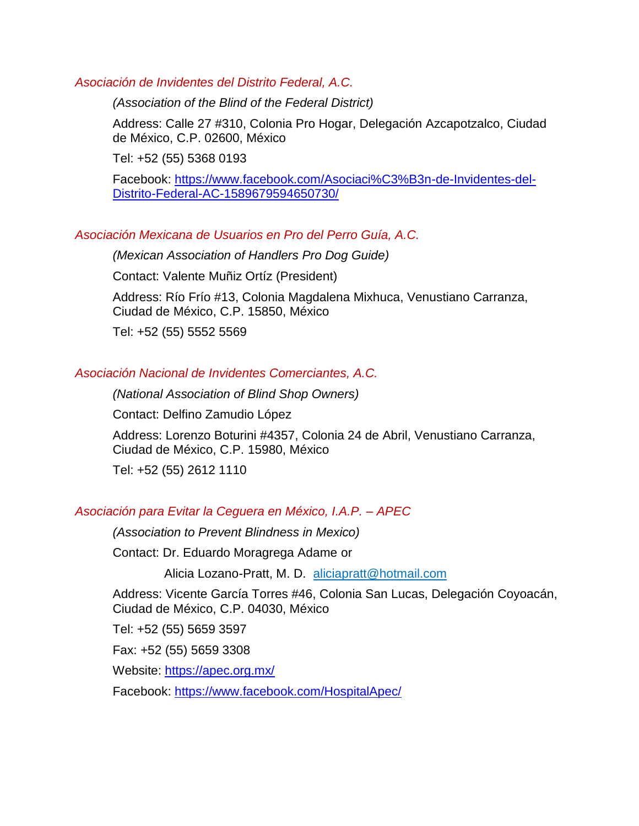#### *Asociación de Invidentes del Distrito Federal, A.C.*

*(Association of the Blind of the Federal District)*

Address: Calle 27 #310, Colonia Pro Hogar, Delegación Azcapotzalco, Ciudad de México, C.P. 02600, México

Tel: +52 (55) 5368 0193

Facebook: [https://www.facebook.com/Asociaci%C3%B3n-de-Invidentes-del-](https://www.facebook.com/Asociaci%C3%B3n-de-Invidentes-del-Distrito-Federal-AC-1589679594650730/)[Distrito-Federal-AC-1589679594650730/](https://www.facebook.com/Asociaci%C3%B3n-de-Invidentes-del-Distrito-Federal-AC-1589679594650730/)

#### *Asociación Mexicana de Usuarios en Pro del Perro Guía, A.C.*

*(Mexican Association of Handlers Pro Dog Guide)* Contact: Valente Muñiz Ortíz (President) Address: Río Frío #13, Colonia Magdalena Mixhuca, Venustiano Carranza, Ciudad de México, C.P. 15850, México Tel: +52 (55) 5552 5569

#### *Asociación Nacional de Invidentes Comerciantes, A.C.*

*(National Association of Blind Shop Owners)*

Contact: Delfino Zamudio López

Address: Lorenzo Boturini #4357, Colonia 24 de Abril, Venustiano Carranza, Ciudad de México, C.P. 15980, México

Tel: +52 (55) 2612 1110

#### *Asociación para Evitar la Ceguera en México, I.A.P. – APEC*

*(Association to Prevent Blindness in Mexico)*

Contact: Dr. Eduardo Moragrega Adame or

Alicia Lozano-Pratt, M. D. aliciapratt@hotmail.com

Address: Vicente García Torres #46, Colonia San Lucas, Delegación Coyoacán, Ciudad de México, C.P. 04030, México

Tel: +52 (55) 5659 3597

Fax: +52 (55) 5659 3308

Website:<https://apec.org.mx/>

Facebook:<https://www.facebook.com/HospitalApec/>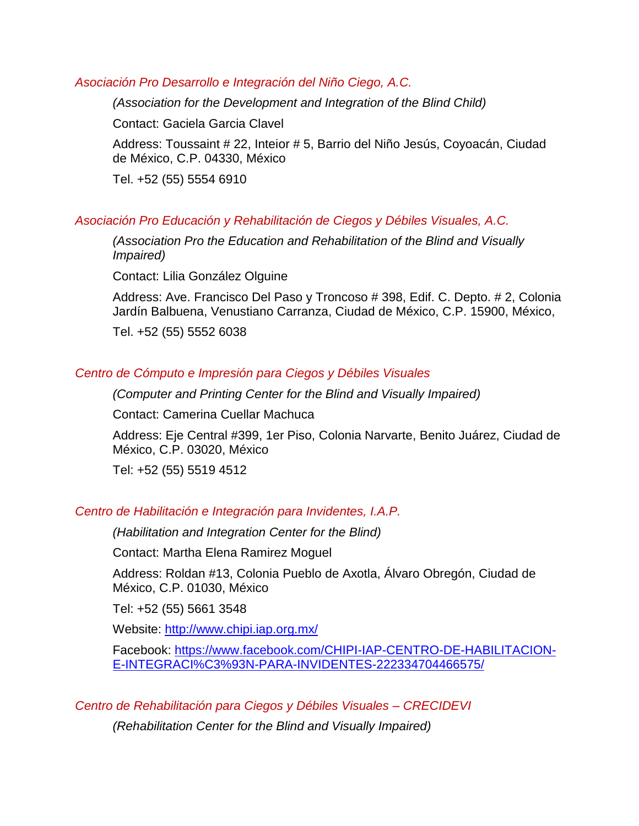#### *Asociación Pro Desarrollo e Integración del Niño Ciego, A.C.*

*(Association for the Development and Integration of the Blind Child)*

Contact: Gaciela Garcia Clavel

Address: Toussaint # 22, Inteior # 5, Barrio del Niño Jesús, Coyoacán, Ciudad de México, C.P. 04330, México

Tel. +52 (55) 5554 6910

## *Asociación Pro Educación y Rehabilitación de Ciegos y Débiles Visuales, A.C.*

*(Association Pro the Education and Rehabilitation of the Blind and Visually Impaired)*

Contact: Lilia González Olguine

Address: Ave. Francisco Del Paso y Troncoso # 398, Edif. C. Depto. # 2, Colonia Jardín Balbuena, Venustiano Carranza, Ciudad de México, C.P. 15900, México,

Tel. +52 (55) 5552 6038

## *Centro de Cómputo e Impresión para Ciegos y Débiles Visuales*

*(Computer and Printing Center for the Blind and Visually Impaired)*

Contact: Camerina Cuellar Machuca

Address: Eje Central #399, 1er Piso, Colonia Narvarte, Benito Juárez, Ciudad de México, C.P. 03020, México

Tel: +52 (55) 5519 4512

## *Centro de Habilitación e Integración para Invidentes, I.A.P.*

*(Habilitation and Integration Center for the Blind)*

Contact: Martha Elena Ramirez Moguel

Address: Roldan #13, Colonia Pueblo de Axotla, Álvaro Obregón, Ciudad de México, C.P. 01030, México

Tel: +52 (55) 5661 3548

Website: http://www.chipi.jap.org.mx/

Facebook: [https://www.facebook.com/CHIPI-IAP-CENTRO-DE-HABILITACION-](https://www.facebook.com/CHIPI-IAP-CENTRO-DE-HABILITACION-E-INTEGRACI%C3%93N-PARA-INVIDENTES-222334704466575/)[E-INTEGRACI%C3%93N-PARA-INVIDENTES-222334704466575/](https://www.facebook.com/CHIPI-IAP-CENTRO-DE-HABILITACION-E-INTEGRACI%C3%93N-PARA-INVIDENTES-222334704466575/)

## *Centro de Rehabilitación para Ciegos y Débiles Visuales – CRECIDEVI*

*(Rehabilitation Center for the Blind and Visually Impaired)*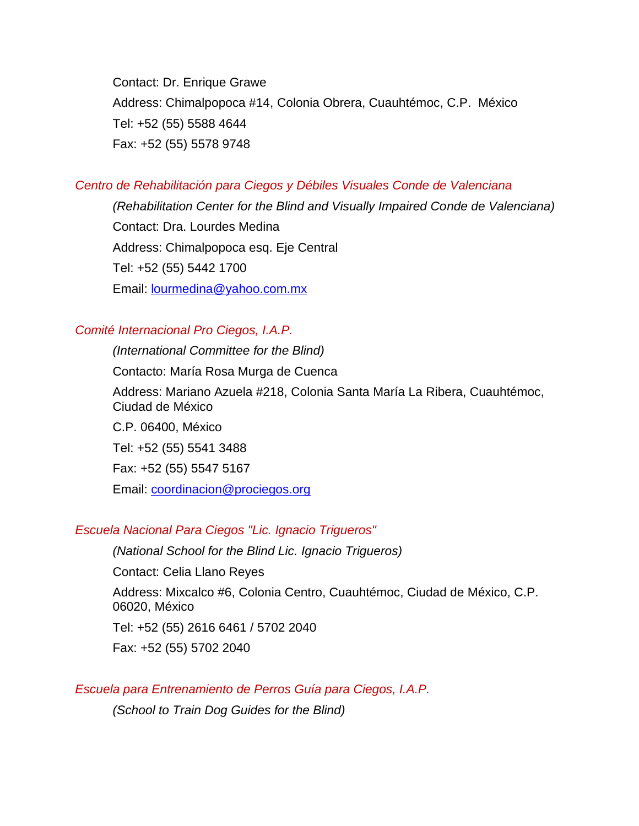Contact: Dr. Enrique Grawe Address: Chimalpopoca #14, Colonia Obrera, Cuauhtémoc, C.P. México Tel: +52 (55) 5588 4644 Fax: +52 (55) 5578 9748

## *Centro de Rehabilitación para Ciegos y Débiles Visuales Conde de Valenciana*

*(Rehabilitation Center for the Blind and Visually Impaired Conde de Valenciana)* Contact: Dra. Lourdes Medina Address: Chimalpopoca esq. Eje Central Tel: +52 (55) 5442 1700 Email: [lourmedina@yahoo.com.mx](mailto:lourmedina@yahoo.com.mx)

#### *Comité Internacional Pro Ciegos, I.A.P.*

*(International Committee for the Blind)*

Contacto: María Rosa Murga de Cuenca

Address: Mariano Azuela #218, Colonia Santa María La Ribera, Cuauhtémoc, Ciudad de México

C.P. 06400, México Tel: +52 (55) 5541 3488 Fax: +52 (55) 5547 5167 Email: [coordinacion@prociegos.org](mailto:coordinacion@prociegos.org)

## *Escuela Nacional Para Ciegos "Lic. Ignacio Trigueros"*

*(National School for the Blind Lic. Ignacio Trigueros)* Contact: Celia Llano Reyes Address: Mixcalco #6, Colonia Centro, Cuauhtémoc, Ciudad de México, C.P. 06020, México Tel: +52 (55) 2616 6461 / 5702 2040 Fax: +52 (55) 5702 2040

#### *Escuela para Entrenamiento de Perros Guía para Ciegos, I.A.P.*

*(School to Train Dog Guides for the Blind)*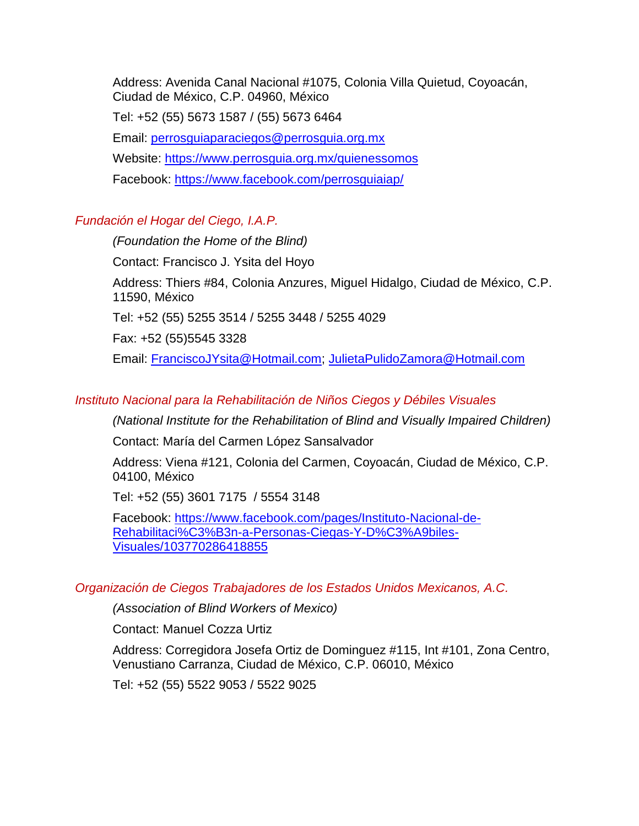Address: Avenida Canal Nacional #1075, Colonia Villa Quietud, Coyoacán, Ciudad de México, C.P. 04960, México

Tel: +52 (55) 5673 1587 / (55) 5673 6464 Email: [perrosguiaparaciegos@perrosguia.org.mx](mailto:perrosguiaparaciegos@perrosguia.org.mx) Website:<https://www.perrosguia.org.mx/quienessomos> Facebook:<https://www.facebook.com/perrosguiaiap/>

## *Fundación el Hogar del Ciego, I.A.P.*

*(Foundation the Home of the Blind)* Contact: Francisco J. Ysita del Hoyo Address: Thiers #84, Colonia Anzures, Miguel Hidalgo, Ciudad de México, C.P. 11590, México Tel: +52 (55) 5255 3514 / 5255 3448 / 5255 4029 Fax: +52 (55)5545 3328 Email: [FranciscoJYsita@Hotmail.com;](mailto:FranciscoJYsita@Hotmail.com) [JulietaPulidoZamora@Hotmail.com](mailto:JulietaPulidoZamora@Hotmail.com)

## *Instituto Nacional para la Rehabilitación de Niños Ciegos y Débiles Visuales*

*(National Institute for the Rehabilitation of Blind and Visually Impaired Children)*

Contact: María del Carmen López Sansalvador

Address: Viena #121, Colonia del Carmen, Coyoacán, Ciudad de México, C.P. 04100, México

Tel: +52 (55) 3601 7175 / 5554 3148

Facebook: [https://www.facebook.com/pages/Instituto-Nacional-de-](https://www.facebook.com/pages/Instituto-Nacional-de-Rehabilitaci%C3%B3n-a-Personas-Ciegas-Y-D%C3%A9biles-Visuales/103770286418855)[Rehabilitaci%C3%B3n-a-Personas-Ciegas-Y-D%C3%A9biles-](https://www.facebook.com/pages/Instituto-Nacional-de-Rehabilitaci%C3%B3n-a-Personas-Ciegas-Y-D%C3%A9biles-Visuales/103770286418855)[Visuales/103770286418855](https://www.facebook.com/pages/Instituto-Nacional-de-Rehabilitaci%C3%B3n-a-Personas-Ciegas-Y-D%C3%A9biles-Visuales/103770286418855)

## *Organización de Ciegos Trabajadores de los Estados Unidos Mexicanos, A.C.*

*(Association of Blind Workers of Mexico)*

Contact: Manuel Cozza Urtiz

Address: Corregidora Josefa Ortiz de Dominguez #115, Int #101, Zona Centro, Venustiano Carranza, Ciudad de México, C.P. 06010, México

Tel: +52 (55) 5522 9053 / 5522 9025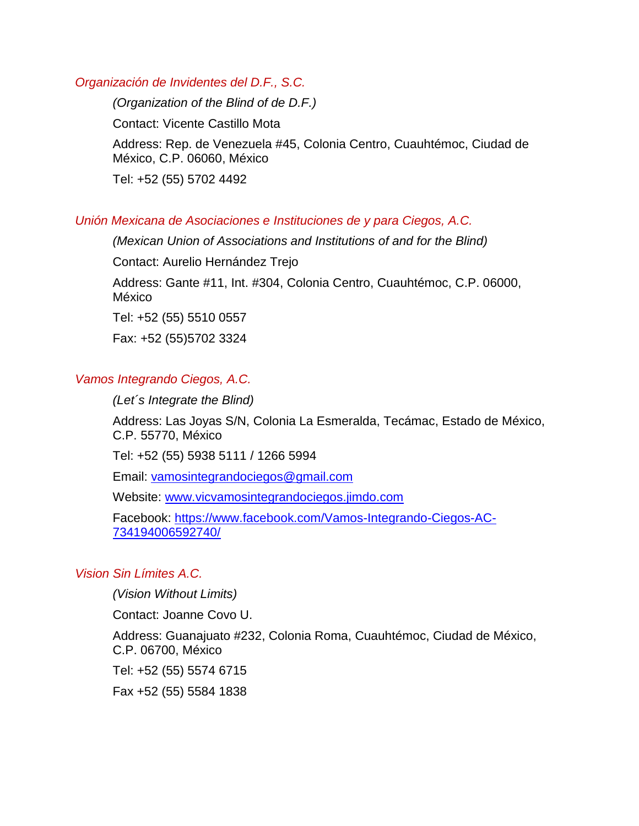#### *Organización de Invidentes del D.F., S.C.*

*(Organization of the Blind of de D.F.)* Contact: Vicente Castillo Mota Address: Rep. de Venezuela #45, Colonia Centro, Cuauhtémoc, Ciudad de México, C.P. 06060, México Tel: +52 (55) 5702 4492

#### *Unión Mexicana de Asociaciones e Instituciones de y para Ciegos, A.C.*

*(Mexican Union of Associations and Institutions of and for the Blind)* Contact: Aurelio Hernández Trejo Address: Gante #11, Int. #304, Colonia Centro, Cuauhtémoc, C.P. 06000, México Tel: +52 (55) 5510 0557 Fax: +52 (55)5702 3324

#### *Vamos Integrando Ciegos, A.C.*

*(Let´s Integrate the Blind)*

Address: Las Joyas S/N, Colonia La Esmeralda, Tecámac, Estado de México, C.P. 55770, México

Tel: +52 (55) 5938 5111 / 1266 5994

Email: [vamosintegrandociegos@gmail.com](mailto:vamosintegrandociegos@gmail.com)

Website: [www.vicvamosintegrandociegos.jimdo.com](http://www.vicvamosintegrandociegos.jimdo.com/)

Facebook: [https://www.facebook.com/Vamos-Integrando-Ciegos-AC-](https://www.facebook.com/Vamos-Integrando-Ciegos-AC-734194006592740/)[734194006592740/](https://www.facebook.com/Vamos-Integrando-Ciegos-AC-734194006592740/)

#### *Vision Sin Límites A.C.*

*(Vision Without Limits)*

Contact: Joanne Covo U.

Address: Guanajuato #232, Colonia Roma, Cuauhtémoc, Ciudad de México, C.P. 06700, México

Tel: +52 (55) 5574 6715

Fax +52 (55) 5584 1838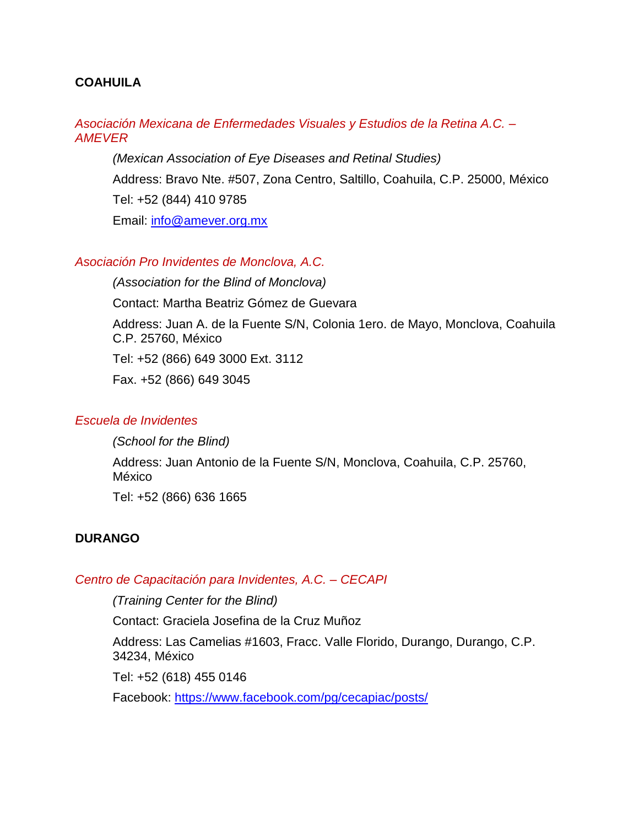## **COAHUILA**

## *Asociación Mexicana de Enfermedades Visuales y Estudios de la Retina A.C. – AMEVER*

*(Mexican Association of Eye Diseases and Retinal Studies)* Address: Bravo Nte. #507, Zona Centro, Saltillo, Coahuila, C.P. 25000, México Tel: +52 (844) 410 9785 Email: [info@amever.org.mx](mailto:info@amever.org.mx)

## *Asociación Pro Invidentes de Monclova, A.C.*

*(Association for the Blind of Monclova)* Contact: Martha Beatriz Gómez de Guevara Address: Juan A. de la Fuente S/N, Colonia 1ero. de Mayo, Monclova, Coahuila C.P. 25760, México Tel: +52 (866) 649 3000 Ext. 3112 Fax. +52 (866) 649 3045

## *Escuela de Invidentes*

*(School for the Blind)*

Address: Juan Antonio de la Fuente S/N, Monclova, Coahuila, C.P. 25760, México

Tel: +52 (866) 636 1665

## **DURANGO**

#### *Centro de Capacitación para Invidentes, A.C. – CECAPI*

*(Training Center for the Blind)*

Contact: Graciela Josefina de la Cruz Muñoz

Address: Las Camelias #1603, Fracc. Valle Florido, Durango, Durango, C.P. 34234, México

Tel: +52 (618) 455 0146

Facebook:<https://www.facebook.com/pg/cecapiac/posts/>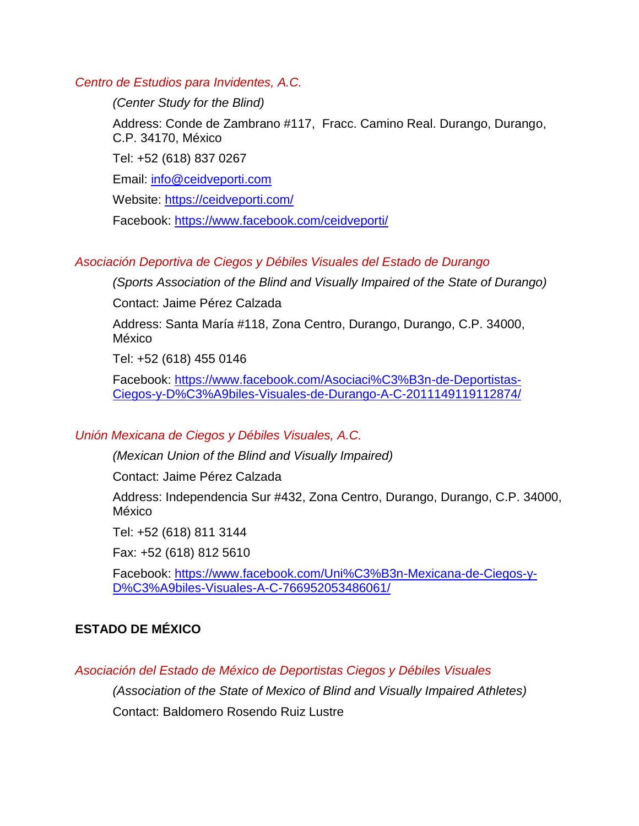*Centro de Estudios para Invidentes, A.C.*

*(Center Study for the Blind)*

Address: Conde de Zambrano #117, Fracc. Camino Real. Durango, Durango, C.P. 34170, México

Tel: +52 (618) 837 0267

Email: [info@ceidveporti.com](mailto:info@ceidveporti.com)

Website:<https://ceidveporti.com/>

Facebook:<https://www.facebook.com/ceidveporti/>

## *Asociación Deportiva de Ciegos y Débiles Visuales del Estado de Durango*

*(Sports Association of the Blind and Visually Impaired of the State of Durango)*

Contact: Jaime Pérez Calzada

Address: Santa María #118, Zona Centro, Durango, Durango, C.P. 34000, México

Tel: +52 (618) 455 0146

Facebook: [https://www.facebook.com/Asociaci%C3%B3n-de-Deportistas-](https://www.facebook.com/Asociaci%C3%B3n-de-Deportistas-Ciegos-y-D%C3%A9biles-Visuales-de-Durango-A-C-2011149119112874/)[Ciegos-y-D%C3%A9biles-Visuales-de-Durango-A-C-2011149119112874/](https://www.facebook.com/Asociaci%C3%B3n-de-Deportistas-Ciegos-y-D%C3%A9biles-Visuales-de-Durango-A-C-2011149119112874/)

## *Unión Mexicana de Ciegos y Débiles Visuales, A.C.*

*(Mexican Union of the Blind and Visually Impaired)*

Contact: Jaime Pérez Calzada

Address: Independencia Sur #432, Zona Centro, Durango, Durango, C.P. 34000, México

Tel: +52 (618) 811 3144

Fax: +52 (618) 812 5610

Facebook: [https://www.facebook.com/Uni%C3%B3n-Mexicana-de-Ciegos-y-](https://www.facebook.com/Uni%C3%B3n-Mexicana-de-Ciegos-y-D%C3%A9biles-Visuales-A-C-766952053486061/)[D%C3%A9biles-Visuales-A-C-766952053486061/](https://www.facebook.com/Uni%C3%B3n-Mexicana-de-Ciegos-y-D%C3%A9biles-Visuales-A-C-766952053486061/)

## **ESTADO DE MÉXICO**

*Asociación del Estado de México de Deportistas Ciegos y Débiles Visuales*

*(Association of the State of Mexico of Blind and Visually Impaired Athletes)* 

Contact: Baldomero Rosendo Ruiz Lustre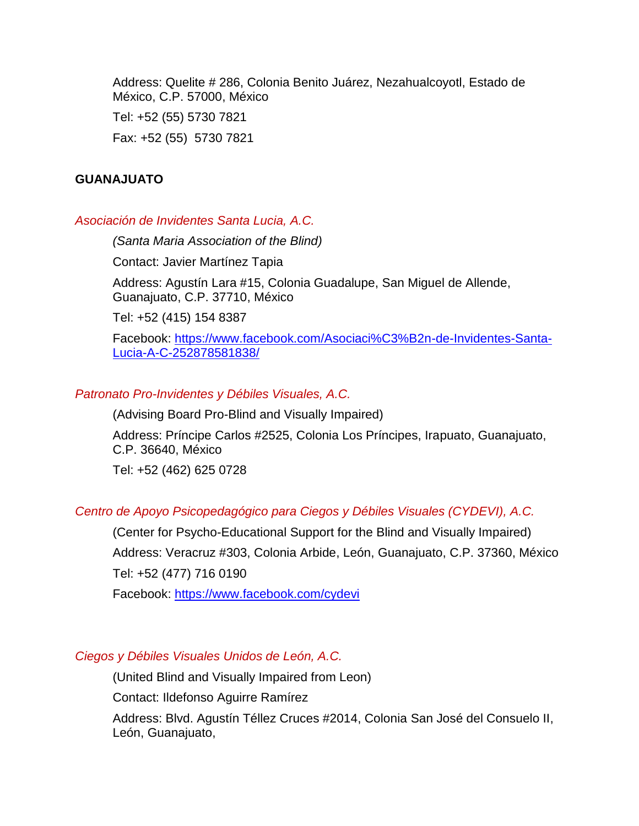Address: Quelite # 286, Colonia Benito Juárez, Nezahualcoyotl, Estado de México, C.P. 57000, México

Tel: +52 (55) 5730 7821 Fax: +52 (55) 5730 7821

## **GUANAJUATO**

## *Asociación de Invidentes Santa Lucia, A.C.*

*(Santa Maria Association of the Blind)*

Contact: Javier Martínez Tapia

Address: Agustín Lara #15, Colonia Guadalupe, San Miguel de Allende, Guanajuato, C.P. 37710, México

Tel: +52 (415) 154 8387

Facebook: [https://www.facebook.com/Asociaci%C3%B2n-de-Invidentes-Santa-](https://www.facebook.com/Asociaci%C3%B2n-de-Invidentes-Santa-Lucia-A-C-252878581838/)[Lucia-A-C-252878581838/](https://www.facebook.com/Asociaci%C3%B2n-de-Invidentes-Santa-Lucia-A-C-252878581838/)

## *Patronato Pro-Invidentes y Débiles Visuales, A.C.*

(Advising Board Pro-Blind and Visually Impaired)

Address: Príncipe Carlos #2525, Colonia Los Príncipes, Irapuato, Guanajuato, C.P. 36640, México

Tel: +52 (462) 625 0728

## *Centro de Apoyo Psicopedagógico para Ciegos y Débiles Visuales (CYDEVI), A.C.*

(Center for Psycho-Educational Support for the Blind and Visually Impaired) Address: Veracruz #303, Colonia Arbide, León, Guanajuato, C.P. 37360, México Tel: +52 (477) 716 0190

Facebook:<https://www.facebook.com/cydevi>

## *Ciegos y Débiles Visuales Unidos de León, A.C.*

(United Blind and Visually Impaired from Leon)

Contact: Ildefonso Aguirre Ramírez

Address: Blvd. Agustín Téllez Cruces #2014, Colonia San José del Consuelo II, León, Guanajuato,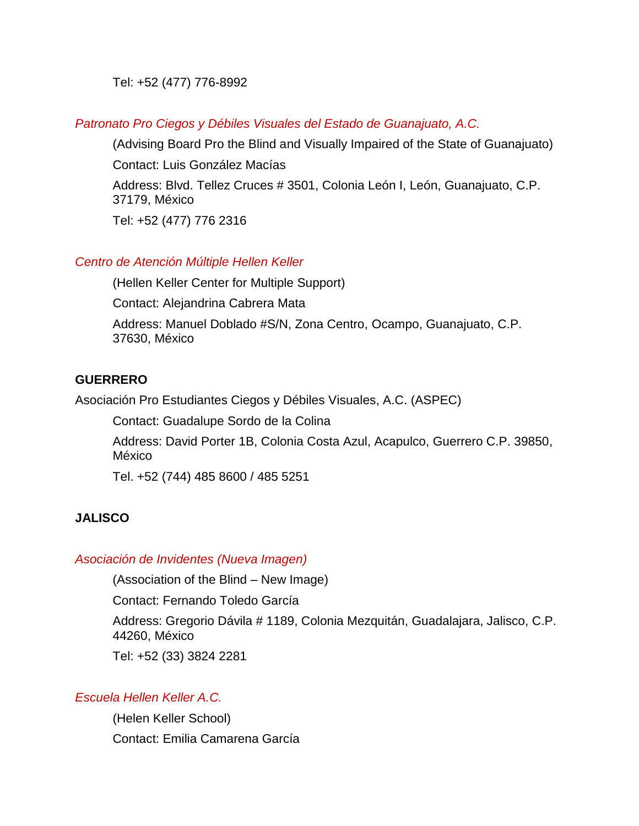Tel: +52 (477) 776-8992

*Patronato Pro Ciegos y Débiles Visuales del Estado de Guanajuato, A.C.*

(Advising Board Pro the Blind and Visually Impaired of the State of Guanajuato)

Contact: Luis González Macías

Address: Blvd. Tellez Cruces # 3501, Colonia León I, León, Guanajuato, C.P. 37179, México

Tel: +52 (477) 776 2316

## *Centro de Atención Múltiple Hellen Keller*

(Hellen Keller Center for Multiple Support)

Contact: Alejandrina Cabrera Mata

Address: Manuel Doblado #S/N, Zona Centro, Ocampo, Guanajuato, C.P. 37630, México

## **GUERRERO**

Asociación Pro Estudiantes Ciegos y Débiles Visuales, A.C. (ASPEC)

Contact: Guadalupe Sordo de la Colina

Address: David Porter 1B, Colonia Costa Azul, Acapulco, Guerrero C.P. 39850, México

Tel. +52 (744) 485 8600 / 485 5251

## **JALISCO**

## *Asociación de Invidentes (Nueva Imagen)*

(Association of the Blind – New Image)

Contact: Fernando Toledo García

Address: Gregorio Dávila # 1189, Colonia Mezquitán, Guadalajara, Jalisco, C.P. 44260, México

Tel: +52 (33) 3824 2281

## *Escuela Hellen Keller A.C.*

(Helen Keller School) Contact: Emilia Camarena García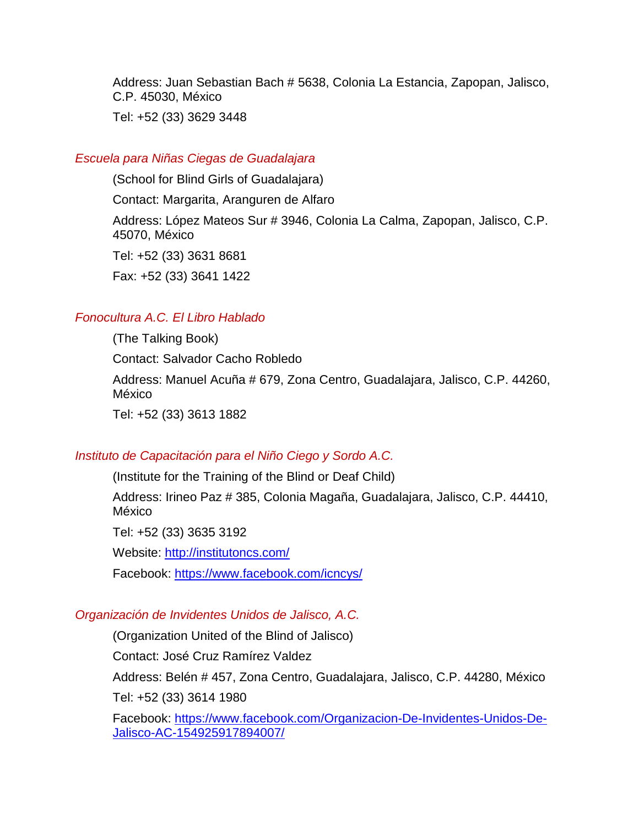Address: Juan Sebastian Bach # 5638, Colonia La Estancia, Zapopan, Jalisco, C.P. 45030, México

Tel: +52 (33) 3629 3448

#### *Escuela para Niñas Ciegas de Guadalajara*

(School for Blind Girls of Guadalajara)

Contact: Margarita, Aranguren de Alfaro

Address: López Mateos Sur # 3946, Colonia La Calma, Zapopan, Jalisco, C.P. 45070, México

Tel: +52 (33) 3631 8681

Fax: +52 (33) 3641 1422

## *Fonocultura A.C. El Libro Hablado*

(The Talking Book) Contact: Salvador Cacho Robledo Address: Manuel Acuña # 679, Zona Centro, Guadalajara, Jalisco, C.P. 44260, México Tel: +52 (33) 3613 1882

#### *Instituto de Capacitación para el Niño Ciego y Sordo A.C.*

(Institute for the Training of the Blind or Deaf Child)

Address: Irineo Paz # 385, Colonia Magaña, Guadalajara, Jalisco, C.P. 44410, México

Tel: +52 (33) 3635 3192

Website:<http://institutoncs.com/>

Facebook:<https://www.facebook.com/icncys/>

#### *Organización de Invidentes Unidos de Jalisco, A.C.*

(Organization United of the Blind of Jalisco)

Contact: José Cruz Ramírez Valdez

Address: Belén # 457, Zona Centro, Guadalajara, Jalisco, C.P. 44280, México Tel: +52 (33) 3614 1980

Facebook: [https://www.facebook.com/Organizacion-De-Invidentes-Unidos-De-](https://www.facebook.com/Organizacion-De-Invidentes-Unidos-De-Jalisco-AC-154925917894007/)[Jalisco-AC-154925917894007/](https://www.facebook.com/Organizacion-De-Invidentes-Unidos-De-Jalisco-AC-154925917894007/)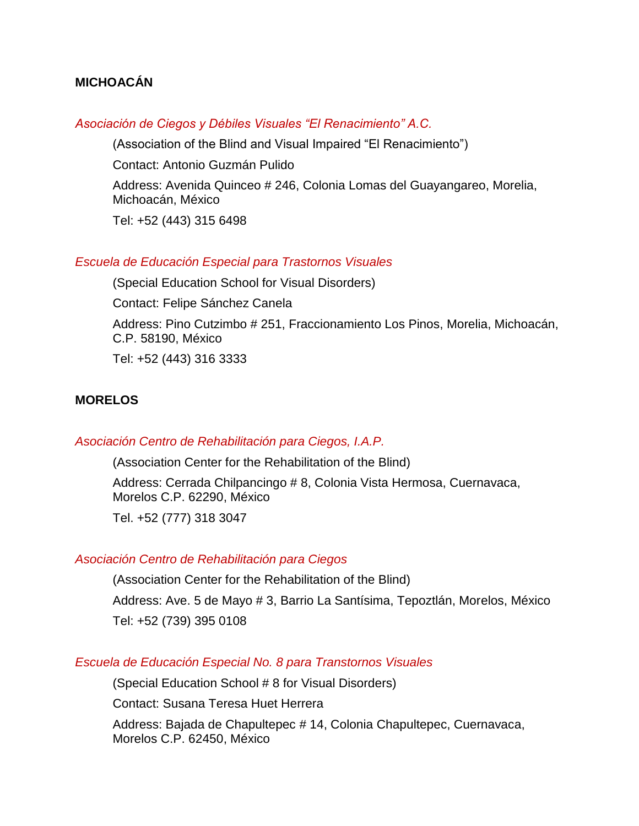## **MICHOACÁN**

#### *Asociación de Ciegos y Débiles Visuales "El Renacimiento" A.C.*

(Association of the Blind and Visual Impaired "El Renacimiento")

Contact: Antonio Guzmán Pulido

Address: Avenida Quinceo # 246, Colonia Lomas del Guayangareo, Morelia, Michoacán, México

Tel: +52 (443) 315 6498

#### *Escuela de Educación Especial para Trastornos Visuales*

(Special Education School for Visual Disorders)

Contact: Felipe Sánchez Canela

Address: Pino Cutzimbo # 251, Fraccionamiento Los Pinos, Morelia, Michoacán, C.P. 58190, México

Tel: +52 (443) 316 3333

#### **MORELOS**

#### *Asociación Centro de Rehabilitación para Ciegos, I.A.P.*

(Association Center for the Rehabilitation of the Blind)

Address: Cerrada Chilpancingo # 8, Colonia Vista Hermosa, Cuernavaca, Morelos C.P. 62290, México

Tel. +52 (777) 318 3047

#### *Asociación Centro de Rehabilitación para Ciegos*

(Association Center for the Rehabilitation of the Blind)

Address: Ave. 5 de Mayo # 3, Barrio La Santísima, Tepoztlán, Morelos, México

Tel: +52 (739) 395 0108

#### *Escuela de Educación Especial No. 8 para Transtornos Visuales*

(Special Education School # 8 for Visual Disorders)

Contact: Susana Teresa Huet Herrera

Address: Bajada de Chapultepec # 14, Colonia Chapultepec, Cuernavaca, Morelos C.P. 62450, México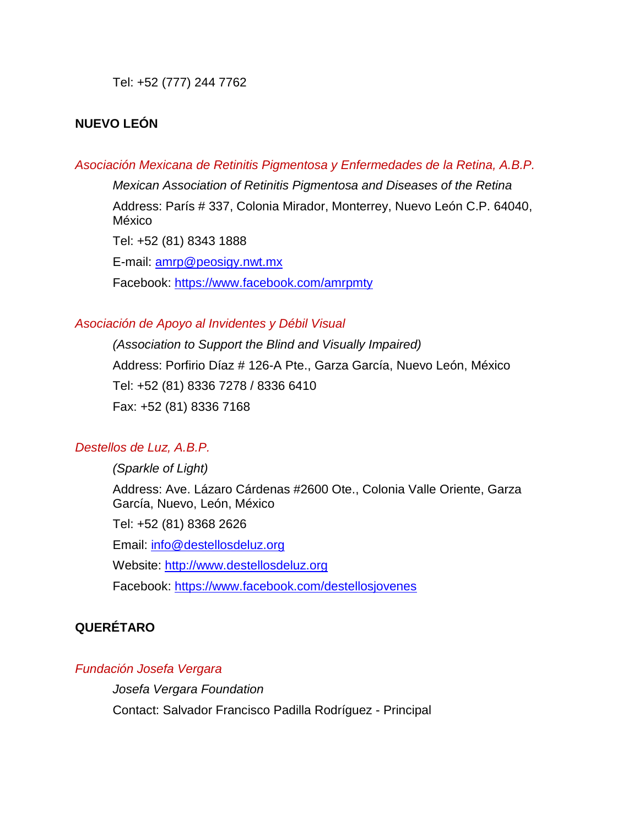Tel: +52 (777) 244 7762

## **NUEVO LEÓN**

#### *Asociación Mexicana de Retinitis Pigmentosa y Enfermedades de la Retina, A.B.P.*

*Mexican Association of Retinitis Pigmentosa and Diseases of the Retina* Address: París # 337, Colonia Mirador, Monterrey, Nuevo León C.P. 64040, México

Tel: +52 (81) 8343 1888

E-mail: [amrp@peosigy.nwt.mx](mailto:amrp@peosigy.nwt.mx) Facebook:<https://www.facebook.com/amrpmty>

#### *Asociación de Apoyo al Invidentes y Débil Visual*

*(Association to Support the Blind and Visually Impaired)* Address: Porfirio Díaz # 126-A Pte., Garza García, Nuevo León, México Tel: +52 (81) 8336 7278 / 8336 6410 Fax: +52 (81) 8336 7168

## *Destellos de Luz, A.B.P.*

*(Sparkle of Light)* Address: Ave. Lázaro Cárdenas #2600 Ote., Colonia Valle Oriente, Garza García, Nuevo, León, México Tel: +52 (81) 8368 2626 Email: [info@destellosdeluz.org](mailto:info@destellosdeluz.org) Website: [http://www.destellosdeluz.org](http://www.destellosdeluz.org/)

Facebook:<https://www.facebook.com/destellosjovenes>

## **QUERÉTARO**

## *Fundación Josefa Vergara*

*Josefa Vergara Foundation* Contact: Salvador Francisco Padilla Rodríguez - Principal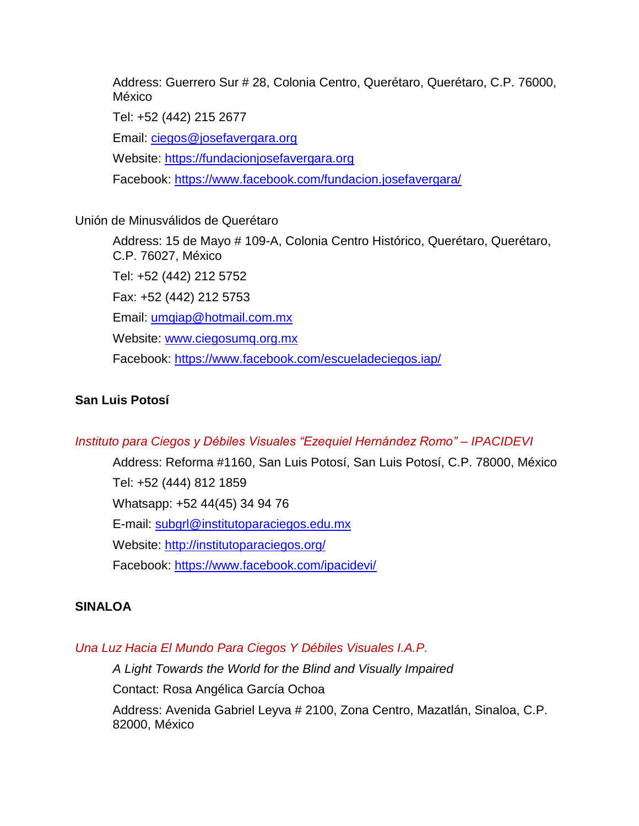Address: Guerrero Sur # 28, Colonia Centro, Querétaro, Querétaro, C.P. 76000, México

Tel: +52 (442) 215 2677

Email: [ciegos@josefavergara.org](mailto:ciegos@josefavergara.org)

Website: [https://fundacionjosefavergara.org](https://fundacionjosefavergara.org/)

Facebook:<https://www.facebook.com/fundacion.josefavergara/>

## Unión de Minusválidos de Querétaro

Address: 15 de Mayo # 109-A, Colonia Centro Histórico, Querétaro, Querétaro, C.P. 76027, México Tel: +52 (442) 212 5752 Fax: +52 (442) 212 5753 Email: [umqiap@hotmail.com.mx](mailto:umqiap@hotmail.com.mx) Website: [www.ciegosumq.org.mx](http://www.ciegosumq.org.mx/?fbclid=IwAR01-389mtSA3eMzYmIaqZq0875CxngLaUaJU0FzIrDL0S9HJfEPaEiFPHY) Facebook:<https://www.facebook.com/escueladeciegos.iap/>

## **San Luis Potosí**

## *Instituto para Ciegos y Débiles Visuales "Ezequiel Hernández Romo" – IPACIDEVI*

Address: Reforma #1160, San Luis Potosí, San Luis Potosí, C.P. 78000, México Tel: +52 (444) 812 1859 Whatsapp: +52 44(45) 34 94 76 E-mail: [subgrl@institutoparaciegos.edu.mx](mailto:subgrl@institutoparaciegos.edu.mx) Website:<http://institutoparaciegos.org/> Facebook:<https://www.facebook.com/ipacidevi/>

## **SINALOA**

## *Una Luz Hacia El Mundo Para Ciegos Y Débiles Visuales I.A.P.*

*A Light Towards the World for the Blind and Visually Impaired* Contact: Rosa Angélica García Ochoa Address: Avenida Gabriel Leyva # 2100, Zona Centro, Mazatlán, Sinaloa, C.P. 82000, México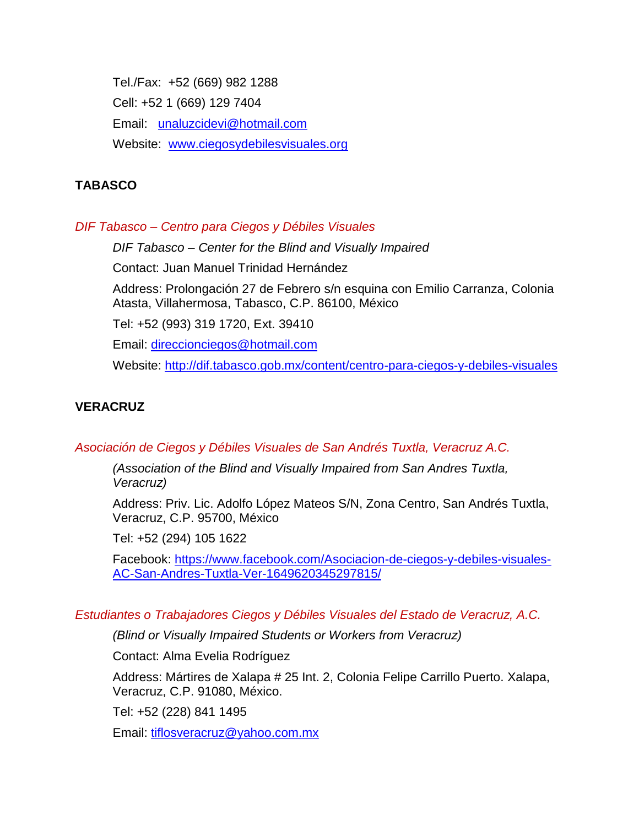Tel./Fax: +52 (669) 982 1288 Cell: +52 1 (669) 129 7404 Email: [unaluzcidevi@hotmail.com](mailto:unaluzcidevi@hotmail.com) Website: [www.ciegosydebilesvisuales.org](http://www.ciegosydebilesvisuales.org/)

## **TABASCO**

## *DIF Tabasco – Centro para Ciegos y Débiles Visuales*

*DIF Tabasco – Center for the Blind and Visually Impaired*

Contact: Juan Manuel Trinidad Hernández

Address: Prolongación 27 de Febrero s/n esquina con Emilio Carranza, Colonia Atasta, Villahermosa, Tabasco, C.P. 86100, México

Tel: +52 (993) 319 1720, Ext. 39410

Email: [direccionciegos@hotmail.com](mailto:direccionciegos@hotmail.com)

Website:<http://dif.tabasco.gob.mx/content/centro-para-ciegos-y-debiles-visuales>

## **VERACRUZ**

*Asociación de Ciegos y Débiles Visuales de San Andrés Tuxtla, Veracruz A.C.*

*(Association of the Blind and Visually Impaired from San Andres Tuxtla, Veracruz)*

Address: Priv. Lic. Adolfo López Mateos S/N, Zona Centro, San Andrés Tuxtla, Veracruz, C.P. 95700, México

Tel: +52 (294) 105 1622

Facebook: [https://www.facebook.com/Asociacion-de-ciegos-y-debiles-visuales-](https://www.facebook.com/Asociacion-de-ciegos-y-debiles-visuales-AC-San-Andres-Tuxtla-Ver-1649620345297815/)[AC-San-Andres-Tuxtla-Ver-1649620345297815/](https://www.facebook.com/Asociacion-de-ciegos-y-debiles-visuales-AC-San-Andres-Tuxtla-Ver-1649620345297815/)

## *Estudiantes o Trabajadores Ciegos y Débiles Visuales del Estado de Veracruz, A.C.*

*(Blind or Visually Impaired Students or Workers from Veracruz)*

Contact: Alma Evelia Rodríguez

Address: Mártires de Xalapa # 25 Int. 2, Colonia Felipe Carrillo Puerto. Xalapa, Veracruz, C.P. 91080, México.

Tel: +52 (228) 841 1495

Email: [tiflosveracruz@yahoo.com.mx](mailto:tiflosveracruz@yahoo.com.mx)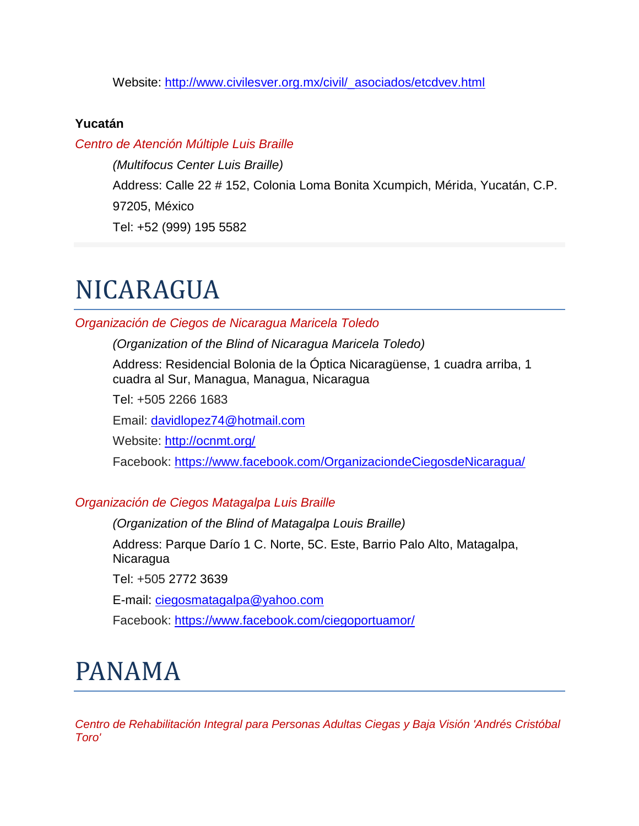Website: [http://www.civilesver.org.mx/civil/\\_asociados/etcdvev.html](http://www.civilesver.org.mx/civil/_asociados/etcdvev.html)

## **Yucatán**

## *Centro de Atención Múltiple Luis Braille*

*(Multifocus Center Luis Braille)* Address: Calle 22 # 152, Colonia Loma Bonita Xcumpich, Mérida, Yucatán, C.P. 97205, México Tel: +52 (999) 195 5582

# NICARAGUA

## *Organización de Ciegos de Nicaragua Maricela Toledo*

*(Organization of the Blind of Nicaragua Maricela Toledo)*

Address: Residencial Bolonia de la Óptica Nicaragüense, 1 cuadra arriba, 1 cuadra al Sur, Managua, Managua, Nicaragua

Tel: +505 2266 1683

Email: [davidlopez74@hotmail.com](mailto:davidlopez74@hotmail.com)

Website:<http://ocnmt.org/>

Facebook:<https://www.facebook.com/OrganizaciondeCiegosdeNicaragua/>

## *Organización de Ciegos Matagalpa Luis Braille*

*(Organization of the Blind of Matagalpa Louis Braille)* Address: Parque Darío 1 C. Norte, 5C. Este, Barrio Palo Alto, Matagalpa, Nicaragua

Tel: +505 2772 3639

E-mail: [ciegosmatagalpa@yahoo.com](mailto:ciegosmatagalpa%40yahoo.com)

Facebook: <https://www.facebook.com/ciegoportuamor/>

# PANAMA

*Centro de Rehabilitación Integral para Personas Adultas Ciegas y Baja Visión 'Andrés Cristóbal Toro'*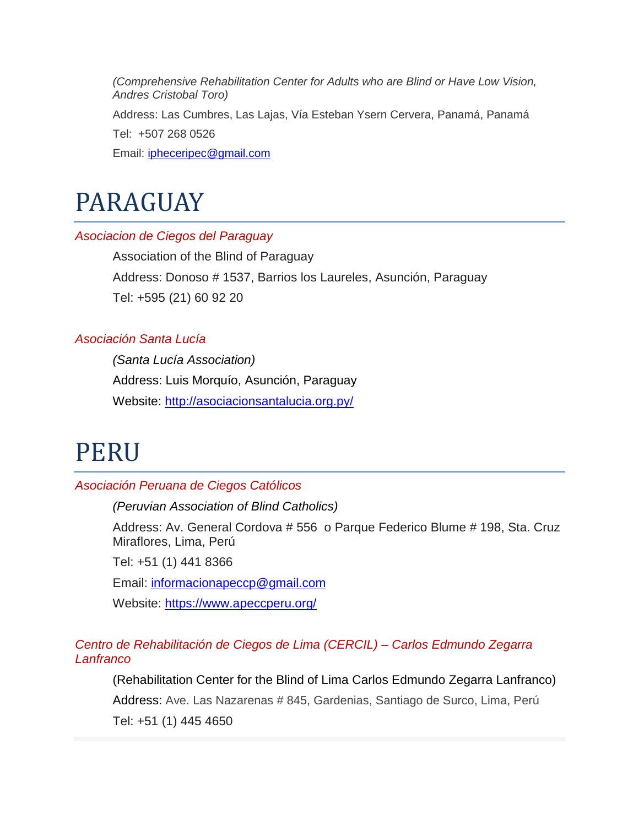*(Comprehensive Rehabilitation Center for Adults who are Blind or Have Low Vision, Andres Cristobal Toro)*

Address: Las Cumbres, Las Lajas, Vía Esteban Ysern Cervera, Panamá, Panamá Tel: +507 268 0526

Email: [ipheceripec@gmail.com](mailto:ipheceripec@gmail.com)

# PARAGUAY

## *Asociacion de Ciegos del Paraguay*

Association of the Blind of Paraguay Address: Donoso # 1537, Barrios los Laureles, Asunción, Paraguay Tel: +595 (21) 60 92 20

## *Asociación Santa Lucía*

*(Santa Lucía Association)* Address: Luis Morquío, Asunción, Paraguay Website:<http://asociacionsantalucia.org.py/>

## PERU

## *Asociación Peruana de Ciegos Católicos*

*(Peruvian Association of Blind Catholics)*

Address: Av. General Cordova # 556 o Parque Federico Blume # 198, Sta. Cruz Miraflores, Lima, Perú

Tel: +51 (1) 441 8366

Email: [informacionapeccp@gmail.com](mailto:informacionapeccp@gmail.com)

Website:<https://www.apeccperu.org/>

*Centro de Rehabilitación de Ciegos de Lima (CERCIL) – Carlos Edmundo Zegarra Lanfranco*

(Rehabilitation Center for the Blind of Lima Carlos Edmundo Zegarra Lanfranco) Address: Ave. Las Nazarenas # 845, Gardenias, Santiago de Surco, Lima, Perú Tel: +51 (1) 445 4650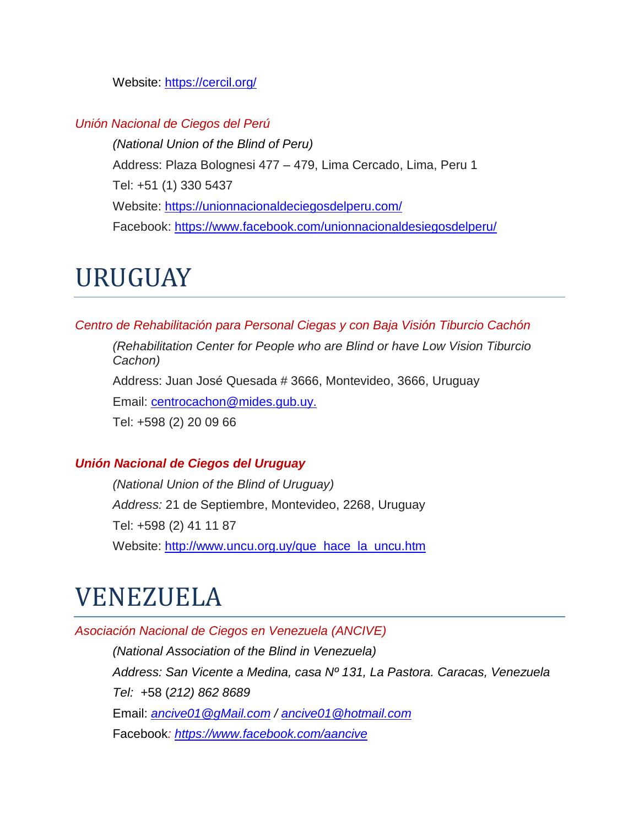Website:<https://cercil.org/>

## *Unión Nacional de Ciegos del Perú*

*(National Union of the Blind of Peru)* Address: Plaza Bolognesi 477 – 479, Lima Cercado, Lima, Peru 1 Tel: +51 (1) 330 5437 Website:<https://unionnacionaldeciegosdelperu.com/> Facebook:<https://www.facebook.com/unionnacionaldesiegosdelperu/>

## URUGUAY

*Centro de Rehabilitación para Personal Ciegas y con Baja Visión Tiburcio Cachón* 

*(Rehabilitation Center for People who are Blind or have Low Vision Tiburcio Cachon)*

Address: Juan José Quesada # 3666, Montevideo, 3666, Uruguay

Email: [centrocachon@mides.gub.uy.](mailto:centrocachon@mides.gub.uy.)

Tel: +598 (2) 20 09 66

#### *Unión Nacional de Ciegos del Uruguay*

*(National Union of the Blind of Uruguay) Address:* 21 de Septiembre, Montevideo, 2268, Uruguay Tel: +598 (2) 41 11 87 Website: [http://www.uncu.org.uy/que\\_hace\\_la\\_uncu.htm](http://www.uncu.org.uy/que_hace_la_uncu.htm)

## VENEZUELA

*Asociación Nacional de Ciegos en Venezuela (ANCIVE)*

*(National Association of the Blind in Venezuela) Address: San Vicente a Medina, casa Nº 131, La Pastora. Caracas, Venezuela Tel:* +58 (*212) 862 8689*  Email: *[ancive01@gMail.com](mailto:ancive01@gMail.com) / [ancive01@hotmail.com](mailto:ancive01@hotmail.com)* Facebook*: <https://www.facebook.com/aancive>*